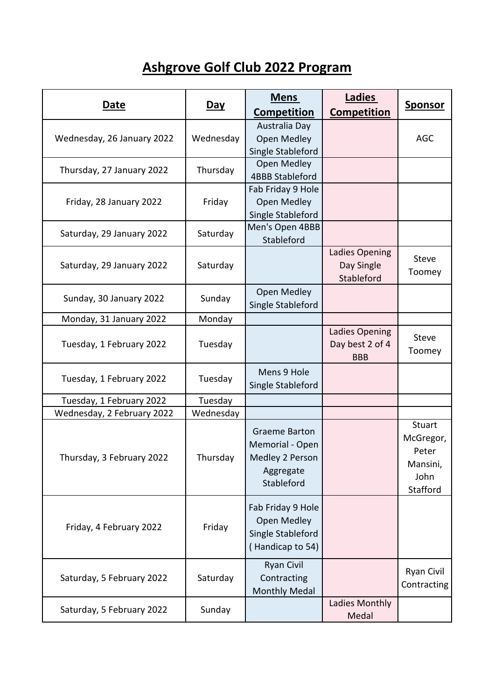## **Ashgrove Golf Club 2022 Program**

| Date                       | <u>Day</u> | <b>Mens</b><br>Competition                                                            | Ladies<br><b>Competition</b>                    | <b>Sponsor</b>                                               |
|----------------------------|------------|---------------------------------------------------------------------------------------|-------------------------------------------------|--------------------------------------------------------------|
| Wednesday, 26 January 2022 | Wednesday  | Australia Day<br><b>Open Medley</b><br>Single Stableford                              |                                                 | <b>AGC</b>                                                   |
| Thursday, 27 January 2022  | Thursday   | Open Medley<br><b>4BBB Stableford</b>                                                 |                                                 |                                                              |
| Friday, 28 January 2022    | Friday     | Fab Friday 9 Hole<br>Open Medley<br>Single Stableford                                 |                                                 |                                                              |
| Saturday, 29 January 2022  | Saturday   | Men's Open 4BBB<br>Stableford                                                         |                                                 |                                                              |
| Saturday, 29 January 2022  | Saturday   |                                                                                       | Ladies Opening<br>Day Single<br>Stableford      | <b>Steve</b><br>Toomey                                       |
| Sunday, 30 January 2022    | Sunday     | Open Medley<br>Single Stableford                                                      |                                                 |                                                              |
| Monday, 31 January 2022    | Monday     |                                                                                       |                                                 |                                                              |
| Tuesday, 1 February 2022   | Tuesday    |                                                                                       | Ladies Opening<br>Day best 2 of 4<br><b>BBB</b> | <b>Steve</b><br>Toomey                                       |
| Tuesday, 1 February 2022   | Tuesday    | Mens 9 Hole<br>Single Stableford                                                      |                                                 |                                                              |
| Tuesday, 1 February 2022   | Tuesday    |                                                                                       |                                                 |                                                              |
| Wednesday, 2 February 2022 | Wednesday  |                                                                                       |                                                 |                                                              |
| Thursday, 3 February 2022  | Thursday   | <b>Graeme Barton</b><br>Memorial - Open<br>Medley 2 Person<br>Aggregate<br>Stableford |                                                 | Stuart<br>McGregor,<br>Peter<br>Mansini,<br>John<br>Stafford |
| Friday, 4 February 2022    | Friday     | Fab Friday 9 Hole<br><b>Open Medley</b><br>Single Stableford<br>(Handicap to 54)      |                                                 |                                                              |
| Saturday, 5 February 2022  | Saturday   | <b>Ryan Civil</b><br>Contracting<br><b>Monthly Medal</b>                              |                                                 | Ryan Civil<br>Contracting                                    |
| Saturday, 5 February 2022  | Sunday     |                                                                                       | Ladies Monthly<br>Medal                         |                                                              |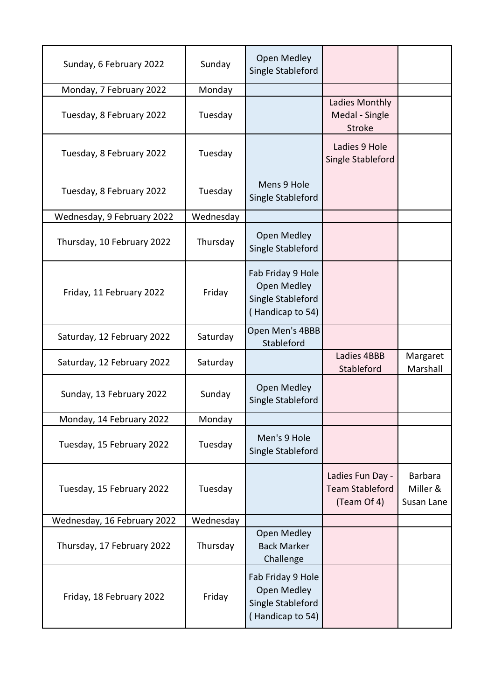| Sunday, 6 February 2022     | Sunday    | Open Medley<br>Single Stableford                                                 |                                                           |                                   |
|-----------------------------|-----------|----------------------------------------------------------------------------------|-----------------------------------------------------------|-----------------------------------|
| Monday, 7 February 2022     | Monday    |                                                                                  |                                                           |                                   |
| Tuesday, 8 February 2022    | Tuesday   |                                                                                  | Ladies Monthly<br>Medal - Single<br>Stroke                |                                   |
| Tuesday, 8 February 2022    | Tuesday   |                                                                                  | Ladies 9 Hole<br>Single Stableford                        |                                   |
| Tuesday, 8 February 2022    | Tuesday   | Mens 9 Hole<br>Single Stableford                                                 |                                                           |                                   |
| Wednesday, 9 February 2022  | Wednesday |                                                                                  |                                                           |                                   |
| Thursday, 10 February 2022  | Thursday  | Open Medley<br>Single Stableford                                                 |                                                           |                                   |
| Friday, 11 February 2022    | Friday    | Fab Friday 9 Hole<br>Open Medley<br>Single Stableford<br>(Handicap to 54)        |                                                           |                                   |
| Saturday, 12 February 2022  | Saturday  | Open Men's 4BBB<br>Stableford                                                    |                                                           |                                   |
| Saturday, 12 February 2022  | Saturday  |                                                                                  | Ladies 4BBB<br>Stableford                                 | Margaret<br>Marshall              |
| Sunday, 13 February 2022    | Sunday    | Open Medley<br>Single Stableford                                                 |                                                           |                                   |
| Monday, 14 February 2022    | Monday    |                                                                                  |                                                           |                                   |
| Tuesday, 15 February 2022   | Tuesday   | Men's 9 Hole<br>Single Stableford                                                |                                                           |                                   |
| Tuesday, 15 February 2022   | Tuesday   |                                                                                  | Ladies Fun Day -<br><b>Team Stableford</b><br>(Team Of 4) | Barbara<br>Miller &<br>Susan Lane |
| Wednesday, 16 February 2022 | Wednesday |                                                                                  |                                                           |                                   |
| Thursday, 17 February 2022  | Thursday  | Open Medley<br><b>Back Marker</b><br>Challenge                                   |                                                           |                                   |
| Friday, 18 February 2022    | Friday    | Fab Friday 9 Hole<br><b>Open Medley</b><br>Single Stableford<br>(Handicap to 54) |                                                           |                                   |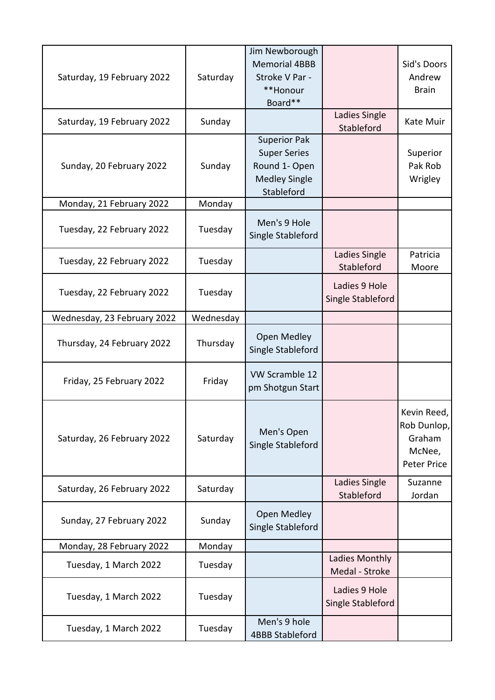|                             |           | Jim Newborough                         |                                    |                                                                      |
|-----------------------------|-----------|----------------------------------------|------------------------------------|----------------------------------------------------------------------|
|                             |           | <b>Memorial 4BBB</b>                   |                                    | Sid's Doors                                                          |
| Saturday, 19 February 2022  | Saturday  | Stroke V Par -                         |                                    | Andrew                                                               |
|                             |           | **Honour                               |                                    | <b>Brain</b>                                                         |
|                             |           | Board**                                |                                    |                                                                      |
| Saturday, 19 February 2022  | Sunday    |                                        | Ladies Single<br>Stableford        | Kate Muir                                                            |
|                             |           | <b>Superior Pak</b>                    |                                    |                                                                      |
|                             |           | <b>Super Series</b>                    |                                    | Superior                                                             |
| Sunday, 20 February 2022    | Sunday    | Round 1- Open                          |                                    | Pak Rob                                                              |
|                             |           | <b>Medley Single</b>                   |                                    | Wrigley                                                              |
|                             |           | Stableford                             |                                    |                                                                      |
| Monday, 21 February 2022    | Monday    |                                        |                                    |                                                                      |
| Tuesday, 22 February 2022   | Tuesday   | Men's 9 Hole<br>Single Stableford      |                                    |                                                                      |
| Tuesday, 22 February 2022   | Tuesday   |                                        | Ladies Single<br>Stableford        | Patricia<br>Moore                                                    |
|                             |           |                                        | Ladies 9 Hole                      |                                                                      |
| Tuesday, 22 February 2022   | Tuesday   |                                        | Single Stableford                  |                                                                      |
|                             |           |                                        |                                    |                                                                      |
| Wednesday, 23 February 2022 | Wednesday |                                        |                                    |                                                                      |
| Thursday, 24 February 2022  | Thursday  | Open Medley<br>Single Stableford       |                                    |                                                                      |
| Friday, 25 February 2022    | Friday    | VW Scramble 12<br>pm Shotgun Start     |                                    |                                                                      |
| Saturday, 26 February 2022  | Saturday  | Men's Open<br>Single Stableford        |                                    | Kevin Reed,<br>Rob Dunlop,<br>Graham<br>McNee,<br><b>Peter Price</b> |
| Saturday, 26 February 2022  | Saturday  |                                        | Ladies Single<br>Stableford        | Suzanne<br>Jordan                                                    |
| Sunday, 27 February 2022    | Sunday    | Open Medley<br>Single Stableford       |                                    |                                                                      |
| Monday, 28 February 2022    | Monday    |                                        |                                    |                                                                      |
| Tuesday, 1 March 2022       | Tuesday   |                                        | Ladies Monthly<br>Medal - Stroke   |                                                                      |
| Tuesday, 1 March 2022       | Tuesday   |                                        | Ladies 9 Hole<br>Single Stableford |                                                                      |
| Tuesday, 1 March 2022       | Tuesday   | Men's 9 hole<br><b>4BBB Stableford</b> |                                    |                                                                      |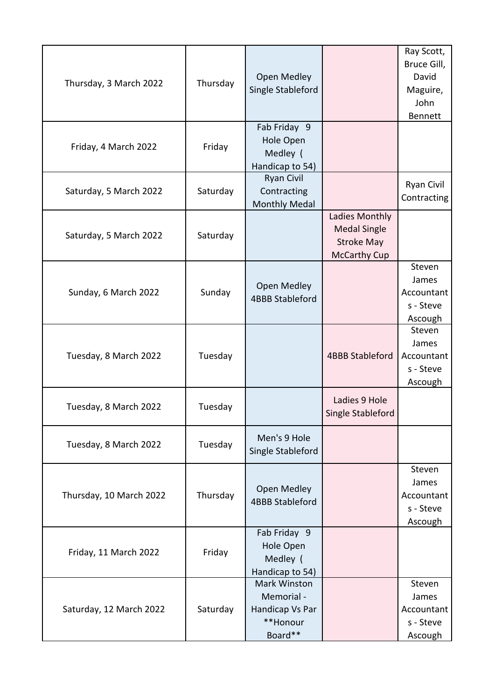|                         |          |                                 |                        | Ray Scott,        |
|-------------------------|----------|---------------------------------|------------------------|-------------------|
|                         |          |                                 |                        | Bruce Gill,       |
|                         |          | <b>Open Medley</b>              |                        | David             |
| Thursday, 3 March 2022  | Thursday | Single Stableford               |                        | Maguire,          |
|                         |          |                                 |                        | John              |
|                         |          |                                 |                        | Bennett           |
|                         |          | Fab Friday 9                    |                        |                   |
|                         |          | Hole Open                       |                        |                   |
| Friday, 4 March 2022    | Friday   | Medley (                        |                        |                   |
|                         |          | Handicap to 54)                 |                        |                   |
|                         |          | <b>Ryan Civil</b>               |                        |                   |
| Saturday, 5 March 2022  | Saturday | Contracting                     |                        | <b>Ryan Civil</b> |
|                         |          | <b>Monthly Medal</b>            |                        | Contracting       |
|                         |          |                                 | Ladies Monthly         |                   |
|                         |          |                                 | <b>Medal Single</b>    |                   |
| Saturday, 5 March 2022  | Saturday |                                 | <b>Stroke May</b>      |                   |
|                         |          |                                 | <b>McCarthy Cup</b>    |                   |
|                         |          |                                 |                        | Steven            |
|                         |          | Open Medley                     |                        | James             |
| Sunday, 6 March 2022    | Sunday   | <b>4BBB Stableford</b>          |                        | Accountant        |
|                         |          |                                 |                        | s - Steve         |
|                         |          |                                 |                        | Ascough           |
|                         |          |                                 |                        | Steven            |
|                         |          |                                 |                        | James             |
| Tuesday, 8 March 2022   | Tuesday  |                                 | <b>4BBB Stableford</b> | Accountant        |
|                         |          |                                 |                        | s - Steve         |
|                         |          |                                 |                        | Ascough           |
|                         |          |                                 | Ladies 9 Hole          |                   |
| Tuesday, 8 March 2022   | Tuesday  |                                 | Single Stableford      |                   |
|                         |          |                                 |                        |                   |
|                         |          | Men's 9 Hole                    |                        |                   |
| Tuesday, 8 March 2022   | Tuesday  | Single Stableford               |                        |                   |
|                         |          |                                 |                        |                   |
|                         |          |                                 |                        | Steven            |
|                         |          | Open Medley                     |                        | James             |
| Thursday, 10 March 2022 | Thursday | <b>4BBB Stableford</b>          |                        | Accountant        |
|                         |          |                                 |                        | s - Steve         |
|                         |          |                                 |                        | Ascough           |
|                         |          | Fab Friday 9                    |                        |                   |
| Friday, 11 March 2022   | Friday   | Hole Open                       |                        |                   |
|                         |          | Medley (                        |                        |                   |
|                         |          | Handicap to 54)<br>Mark Winston |                        | Steven            |
|                         |          | Memorial -                      |                        | James             |
|                         |          |                                 |                        |                   |
| Saturday, 12 March 2022 | Saturday | Handicap Vs Par<br>**Honour     |                        | Accountant        |
|                         |          |                                 |                        | s - Steve         |
|                         |          | Board**                         |                        | Ascough           |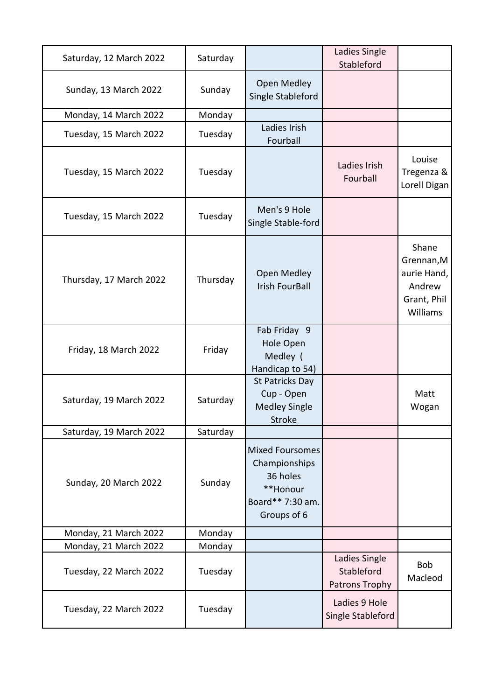| Saturday, 12 March 2022 | Saturday |                                                                                                    | Ladies Single<br>Stableford                   |                                                                         |
|-------------------------|----------|----------------------------------------------------------------------------------------------------|-----------------------------------------------|-------------------------------------------------------------------------|
| Sunday, 13 March 2022   | Sunday   | Open Medley<br>Single Stableford                                                                   |                                               |                                                                         |
| Monday, 14 March 2022   | Monday   |                                                                                                    |                                               |                                                                         |
| Tuesday, 15 March 2022  | Tuesday  | Ladies Irish<br>Fourball                                                                           |                                               |                                                                         |
| Tuesday, 15 March 2022  | Tuesday  |                                                                                                    | Ladies Irish<br>Fourball                      | Louise<br>Tregenza &<br>Lorell Digan                                    |
| Tuesday, 15 March 2022  | Tuesday  | Men's 9 Hole<br>Single Stable-ford                                                                 |                                               |                                                                         |
| Thursday, 17 March 2022 | Thursday | <b>Open Medley</b><br><b>Irish FourBall</b>                                                        |                                               | Shane<br>Grennan, M<br>aurie Hand,<br>Andrew<br>Grant, Phil<br>Williams |
| Friday, 18 March 2022   | Friday   | Fab Friday 9<br>Hole Open<br>Medley (<br>Handicap to 54)                                           |                                               |                                                                         |
| Saturday, 19 March 2022 | Saturday | St Patricks Day<br>Cup - Open<br><b>Medley Single</b><br><b>Stroke</b>                             |                                               | Matt<br>Wogan                                                           |
| Saturday, 19 March 2022 | Saturday |                                                                                                    |                                               |                                                                         |
| Sunday, 20 March 2022   | Sunday   | <b>Mixed Foursomes</b><br>Championships<br>36 holes<br>**Honour<br>Board** 7:30 am.<br>Groups of 6 |                                               |                                                                         |
| Monday, 21 March 2022   | Monday   |                                                                                                    |                                               |                                                                         |
| Monday, 21 March 2022   | Monday   |                                                                                                    |                                               |                                                                         |
| Tuesday, 22 March 2022  | Tuesday  |                                                                                                    | Ladies Single<br>Stableford<br>Patrons Trophy | <b>Bob</b><br>Macleod                                                   |
| Tuesday, 22 March 2022  | Tuesday  |                                                                                                    | Ladies 9 Hole<br>Single Stableford            |                                                                         |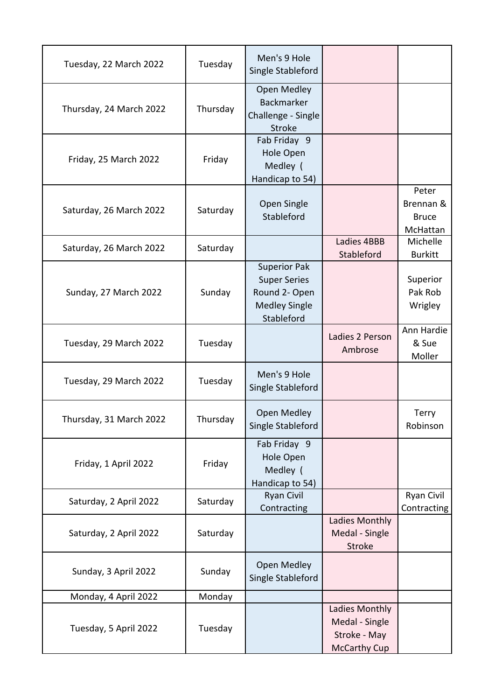| Tuesday, 22 March 2022  | Tuesday  | Men's 9 Hole<br>Single Stableford                                                                 |                                                                         |                                                |
|-------------------------|----------|---------------------------------------------------------------------------------------------------|-------------------------------------------------------------------------|------------------------------------------------|
| Thursday, 24 March 2022 | Thursday | Open Medley<br>Backmarker<br>Challenge - Single<br><b>Stroke</b>                                  |                                                                         |                                                |
| Friday, 25 March 2022   | Friday   | Fab Friday 9<br>Hole Open<br>Medley (<br>Handicap to 54)                                          |                                                                         |                                                |
| Saturday, 26 March 2022 | Saturday | Open Single<br>Stableford                                                                         |                                                                         | Peter<br>Brennan &<br><b>Bruce</b><br>McHattan |
| Saturday, 26 March 2022 | Saturday |                                                                                                   | Ladies 4BBB<br>Stableford                                               | Michelle<br><b>Burkitt</b>                     |
| Sunday, 27 March 2022   | Sunday   | <b>Superior Pak</b><br><b>Super Series</b><br>Round 2- Open<br><b>Medley Single</b><br>Stableford |                                                                         | Superior<br>Pak Rob<br>Wrigley                 |
| Tuesday, 29 March 2022  | Tuesday  |                                                                                                   | Ladies 2 Person<br>Ambrose                                              | Ann Hardie<br>& Sue<br>Moller                  |
| Tuesday, 29 March 2022  | Tuesday  | Men's 9 Hole<br>Single Stableford                                                                 |                                                                         |                                                |
| Thursday, 31 March 2022 | Thursday | Open Medley<br>Single Stableford                                                                  |                                                                         | Terry<br>Robinson                              |
| Friday, 1 April 2022    | Friday   | Fab Friday 9<br>Hole Open<br>Medley (<br>Handicap to 54)                                          |                                                                         |                                                |
| Saturday, 2 April 2022  | Saturday | <b>Ryan Civil</b><br>Contracting                                                                  |                                                                         | Ryan Civil<br>Contracting                      |
| Saturday, 2 April 2022  | Saturday |                                                                                                   | Ladies Monthly<br>Medal - Single<br>Stroke                              |                                                |
| Sunday, 3 April 2022    | Sunday   | Open Medley<br>Single Stableford                                                                  |                                                                         |                                                |
| Monday, 4 April 2022    | Monday   |                                                                                                   |                                                                         |                                                |
| Tuesday, 5 April 2022   | Tuesday  |                                                                                                   | Ladies Monthly<br>Medal - Single<br>Stroke - May<br><b>McCarthy Cup</b> |                                                |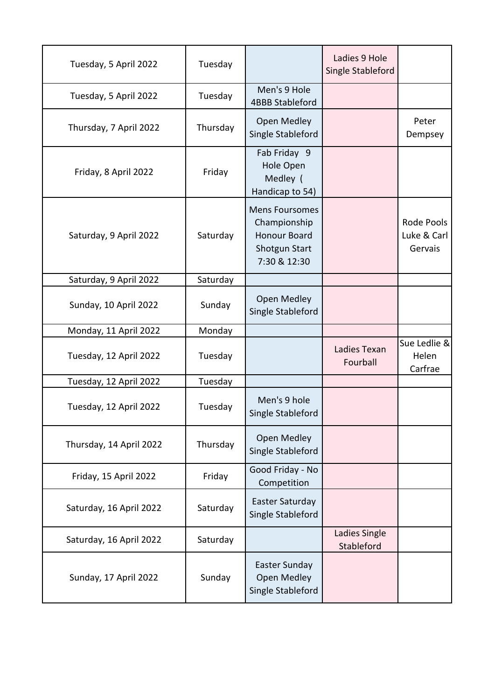| Tuesday, 5 April 2022   | Tuesday  |                                                                                               | Ladies 9 Hole<br>Single Stableford |                                             |
|-------------------------|----------|-----------------------------------------------------------------------------------------------|------------------------------------|---------------------------------------------|
| Tuesday, 5 April 2022   | Tuesday  | Men's 9 Hole<br><b>4BBB Stableford</b>                                                        |                                    |                                             |
| Thursday, 7 April 2022  | Thursday | <b>Open Medley</b><br>Single Stableford                                                       |                                    | Peter<br>Dempsey                            |
| Friday, 8 April 2022    | Friday   | Fab Friday 9<br>Hole Open<br>Medley (<br>Handicap to 54)                                      |                                    |                                             |
| Saturday, 9 April 2022  | Saturday | <b>Mens Foursomes</b><br>Championship<br><b>Honour Board</b><br>Shotgun Start<br>7:30 & 12:30 |                                    | <b>Rode Pools</b><br>Luke & Carl<br>Gervais |
| Saturday, 9 April 2022  | Saturday |                                                                                               |                                    |                                             |
| Sunday, 10 April 2022   | Sunday   | Open Medley<br>Single Stableford                                                              |                                    |                                             |
| Monday, 11 April 2022   | Monday   |                                                                                               |                                    |                                             |
| Tuesday, 12 April 2022  | Tuesday  |                                                                                               | Ladies Texan<br>Fourball           | Sue Ledlie &<br>Helen<br>Carfrae            |
| Tuesday, 12 April 2022  | Tuesday  |                                                                                               |                                    |                                             |
| Tuesday, 12 April 2022  | Tuesday  | Men's 9 hole<br>Single Stableford                                                             |                                    |                                             |
| Thursday, 14 April 2022 | Thursday | Open Medley<br>Single Stableford                                                              |                                    |                                             |
| Friday, 15 April 2022   | Friday   | Good Friday - No<br>Competition                                                               |                                    |                                             |
| Saturday, 16 April 2022 | Saturday | Easter Saturday<br>Single Stableford                                                          |                                    |                                             |
| Saturday, 16 April 2022 | Saturday |                                                                                               | Ladies Single<br>Stableford        |                                             |
| Sunday, 17 April 2022   | Sunday   | Easter Sunday<br>Open Medley<br>Single Stableford                                             |                                    |                                             |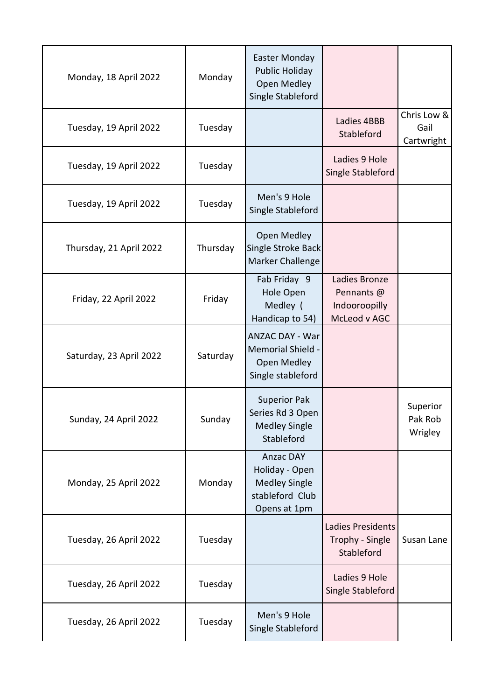| Monday, 18 April 2022   | Monday   | <b>Easter Monday</b><br><b>Public Holiday</b><br><b>Open Medley</b><br>Single Stableford      |                                                              |                                   |
|-------------------------|----------|-----------------------------------------------------------------------------------------------|--------------------------------------------------------------|-----------------------------------|
| Tuesday, 19 April 2022  | Tuesday  |                                                                                               | Ladies 4BBB<br>Stableford                                    | Chris Low &<br>Gail<br>Cartwright |
| Tuesday, 19 April 2022  | Tuesday  |                                                                                               | Ladies 9 Hole<br>Single Stableford                           |                                   |
| Tuesday, 19 April 2022  | Tuesday  | Men's 9 Hole<br>Single Stableford                                                             |                                                              |                                   |
| Thursday, 21 April 2022 | Thursday | Open Medley<br>Single Stroke Back<br>Marker Challenge                                         |                                                              |                                   |
| Friday, 22 April 2022   | Friday   | Fab Friday 9<br>Hole Open<br>Medley (<br>Handicap to 54)                                      | Ladies Bronze<br>Pennants @<br>Indooroopilly<br>McLeod v AGC |                                   |
| Saturday, 23 April 2022 | Saturday | <b>ANZAC DAY - War</b><br><b>Memorial Shield -</b><br>Open Medley<br>Single stableford        |                                                              |                                   |
| Sunday, 24 April 2022   | Sunday   | <b>Superior Pak</b><br>Series Rd 3 Open<br><b>Medley Single</b><br>Stableford                 |                                                              | Superior<br>Pak Rob<br>Wrigley    |
| Monday, 25 April 2022   | Monday   | <b>Anzac DAY</b><br>Holiday - Open<br><b>Medley Single</b><br>stableford Club<br>Opens at 1pm |                                                              |                                   |
| Tuesday, 26 April 2022  | Tuesday  |                                                                                               | Ladies Presidents<br>Trophy - Single<br>Stableford           | Susan Lane                        |
| Tuesday, 26 April 2022  | Tuesday  |                                                                                               | Ladies 9 Hole<br>Single Stableford                           |                                   |
| Tuesday, 26 April 2022  | Tuesday  | Men's 9 Hole<br>Single Stableford                                                             |                                                              |                                   |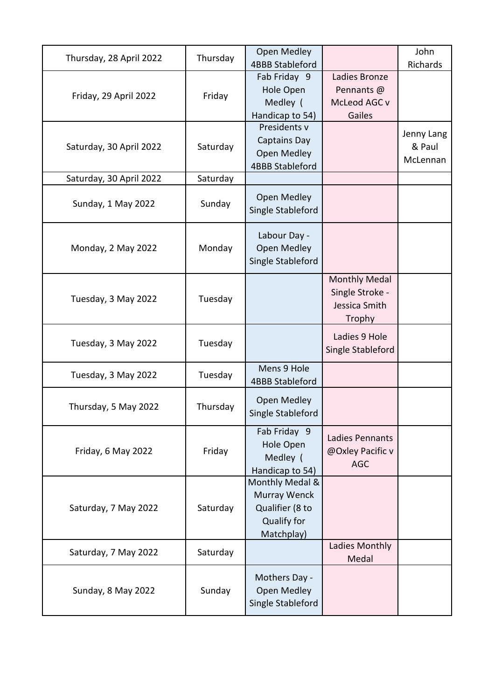| Thursday, 28 April 2022 | Thursday | <b>Open Medley</b><br><b>4BBB Stableford</b>                                           |                                                                    | John<br>Richards                 |
|-------------------------|----------|----------------------------------------------------------------------------------------|--------------------------------------------------------------------|----------------------------------|
| Friday, 29 April 2022   | Friday   | Fab Friday 9<br>Hole Open<br>Medley (<br>Handicap to 54)                               | Ladies Bronze<br>Pennants @<br>McLeod AGC v<br>Gailes              |                                  |
| Saturday, 30 April 2022 | Saturday | Presidents v<br><b>Captains Day</b><br><b>Open Medley</b><br><b>4BBB Stableford</b>    |                                                                    | Jenny Lang<br>& Paul<br>McLennan |
| Saturday, 30 April 2022 | Saturday |                                                                                        |                                                                    |                                  |
| Sunday, 1 May 2022      | Sunday   | Open Medley<br>Single Stableford                                                       |                                                                    |                                  |
| Monday, 2 May 2022      | Monday   | Labour Day -<br><b>Open Medley</b><br>Single Stableford                                |                                                                    |                                  |
| Tuesday, 3 May 2022     | Tuesday  |                                                                                        | <b>Monthly Medal</b><br>Single Stroke -<br>Jessica Smith<br>Trophy |                                  |
| Tuesday, 3 May 2022     | Tuesday  |                                                                                        | Ladies 9 Hole<br>Single Stableford                                 |                                  |
| Tuesday, 3 May 2022     | Tuesday  | Mens 9 Hole<br><b>4BBB Stableford</b>                                                  |                                                                    |                                  |
| Thursday, 5 May 2022    | Thursday | <b>Open Medley</b><br>Single Stableford                                                |                                                                    |                                  |
| Friday, 6 May 2022      | Friday   | Fab Friday 9<br>Hole Open<br>Medley (<br>Handicap to 54)                               | <b>Ladies Pennants</b><br>@Oxley Pacific v<br><b>AGC</b>           |                                  |
| Saturday, 7 May 2022    | Saturday | Monthly Medal &<br>Murray Wenck<br>Qualifier (8 to<br><b>Qualify for</b><br>Matchplay) |                                                                    |                                  |
| Saturday, 7 May 2022    | Saturday |                                                                                        | Ladies Monthly<br>Medal                                            |                                  |
| Sunday, 8 May 2022      | Sunday   | Mothers Day -<br><b>Open Medley</b><br>Single Stableford                               |                                                                    |                                  |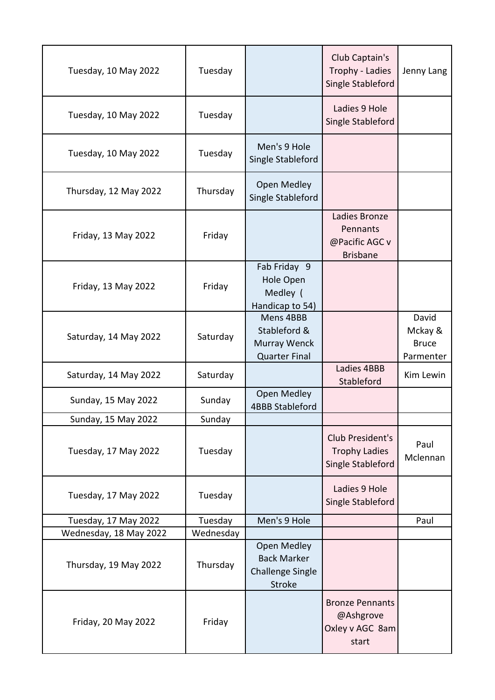| Tuesday, 10 May 2022   | Tuesday   |                                                                        | Club Captain's<br>Trophy - Ladies<br>Single Stableford          | Jenny Lang                                    |
|------------------------|-----------|------------------------------------------------------------------------|-----------------------------------------------------------------|-----------------------------------------------|
| Tuesday, 10 May 2022   | Tuesday   |                                                                        | Ladies 9 Hole<br>Single Stableford                              |                                               |
| Tuesday, 10 May 2022   | Tuesday   | Men's 9 Hole<br>Single Stableford                                      |                                                                 |                                               |
| Thursday, 12 May 2022  | Thursday  | <b>Open Medley</b><br>Single Stableford                                |                                                                 |                                               |
| Friday, 13 May 2022    | Friday    |                                                                        | Ladies Bronze<br>Pennants<br>@Pacific AGC v<br><b>Brisbane</b>  |                                               |
| Friday, 13 May 2022    | Friday    | Fab Friday 9<br>Hole Open<br>Medley (<br>Handicap to 54)               |                                                                 |                                               |
| Saturday, 14 May 2022  | Saturday  | Mens 4BBB<br>Stableford &<br>Murray Wenck<br><b>Quarter Final</b>      |                                                                 | David<br>Mckay &<br><b>Bruce</b><br>Parmenter |
| Saturday, 14 May 2022  | Saturday  |                                                                        | Ladies 4BBB<br>Stableford                                       | Kim Lewin                                     |
| Sunday, 15 May 2022    | Sunday    | Open Medley<br><b>4BBB Stableford</b>                                  |                                                                 |                                               |
| Sunday, 15 May 2022    | Sunday    |                                                                        |                                                                 |                                               |
| Tuesday, 17 May 2022   | Tuesday   |                                                                        | Club President's<br><b>Trophy Ladies</b><br>Single Stableford   | Paul<br>Mclennan                              |
| Tuesday, 17 May 2022   | Tuesday   |                                                                        | Ladies 9 Hole<br>Single Stableford                              |                                               |
| Tuesday, 17 May 2022   | Tuesday   | Men's 9 Hole                                                           |                                                                 | Paul                                          |
| Wednesday, 18 May 2022 | Wednesday |                                                                        |                                                                 |                                               |
| Thursday, 19 May 2022  | Thursday  | Open Medley<br><b>Back Marker</b><br><b>Challenge Single</b><br>Stroke |                                                                 |                                               |
| Friday, 20 May 2022    | Friday    |                                                                        | <b>Bronze Pennants</b><br>@Ashgrove<br>Oxley v AGC 8am<br>start |                                               |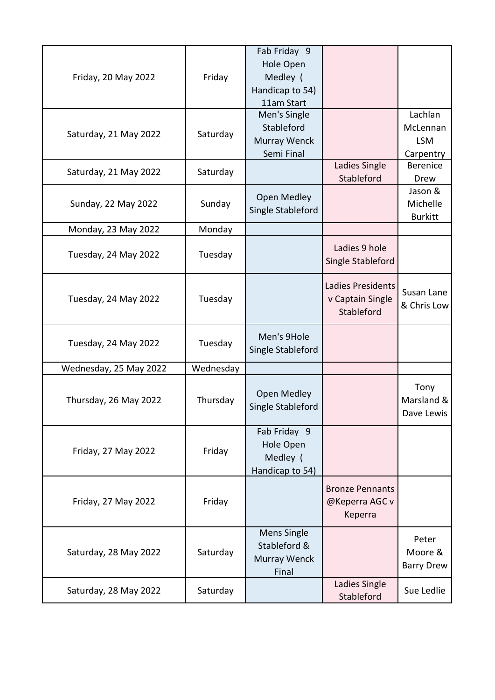| Friday, 20 May 2022    | Friday    | Fab Friday 9<br>Hole Open<br>Medley (<br>Handicap to 54)<br>11am Start |                                                     |                                                |
|------------------------|-----------|------------------------------------------------------------------------|-----------------------------------------------------|------------------------------------------------|
| Saturday, 21 May 2022  | Saturday  | Men's Single<br>Stableford<br>Murray Wenck<br>Semi Final               |                                                     | Lachlan<br>McLennan<br><b>LSM</b><br>Carpentry |
| Saturday, 21 May 2022  | Saturday  |                                                                        | Ladies Single<br>Stableford                         | <b>Berenice</b><br>Drew                        |
| Sunday, 22 May 2022    | Sunday    | <b>Open Medley</b><br>Single Stableford                                |                                                     | Jason &<br>Michelle<br><b>Burkitt</b>          |
| Monday, 23 May 2022    | Monday    |                                                                        |                                                     |                                                |
| Tuesday, 24 May 2022   | Tuesday   |                                                                        | Ladies 9 hole<br>Single Stableford                  |                                                |
| Tuesday, 24 May 2022   | Tuesday   |                                                                        | Ladies Presidents<br>v Captain Single<br>Stableford | Susan Lane<br>& Chris Low                      |
| Tuesday, 24 May 2022   | Tuesday   | Men's 9Hole<br>Single Stableford                                       |                                                     |                                                |
| Wednesday, 25 May 2022 | Wednesday |                                                                        |                                                     |                                                |
| Thursday, 26 May 2022  | Thursday  | Open Medley<br>Single Stableford                                       |                                                     | Tony<br>Marsland &<br>Dave Lewis               |
| Friday, 27 May 2022    | Friday    | Fab Friday 9<br>Hole Open<br>Medley (<br>Handicap to 54)               |                                                     |                                                |
| Friday, 27 May 2022    | Friday    |                                                                        | <b>Bronze Pennants</b><br>@Keperra AGC v<br>Keperra |                                                |
| Saturday, 28 May 2022  | Saturday  | Mens Single<br>Stableford &<br>Murray Wenck<br>Final                   |                                                     | Peter<br>Moore &<br><b>Barry Drew</b>          |
| Saturday, 28 May 2022  | Saturday  |                                                                        | Ladies Single<br>Stableford                         | Sue Ledlie                                     |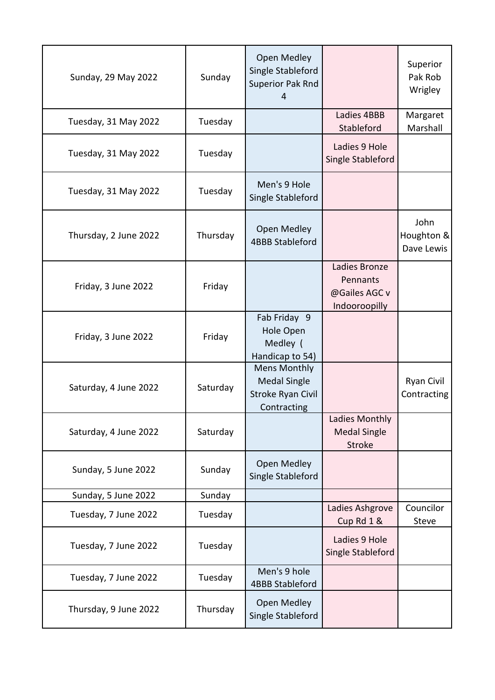| Sunday, 29 May 2022   | Sunday   | Open Medley<br>Single Stableford<br>Superior Pak Rnd<br>4                      |                                                             | Superior<br>Pak Rob<br>Wrigley   |
|-----------------------|----------|--------------------------------------------------------------------------------|-------------------------------------------------------------|----------------------------------|
| Tuesday, 31 May 2022  | Tuesday  |                                                                                | Ladies 4BBB<br>Stableford                                   | Margaret<br>Marshall             |
| Tuesday, 31 May 2022  | Tuesday  |                                                                                | Ladies 9 Hole<br>Single Stableford                          |                                  |
| Tuesday, 31 May 2022  | Tuesday  | Men's 9 Hole<br>Single Stableford                                              |                                                             |                                  |
| Thursday, 2 June 2022 | Thursday | Open Medley<br><b>4BBB Stableford</b>                                          |                                                             | John<br>Houghton &<br>Dave Lewis |
| Friday, 3 June 2022   | Friday   |                                                                                | Ladies Bronze<br>Pennants<br>@Gailes AGC v<br>Indooroopilly |                                  |
| Friday, 3 June 2022   | Friday   | Fab Friday 9<br>Hole Open<br>Medley (<br>Handicap to 54)                       |                                                             |                                  |
| Saturday, 4 June 2022 | Saturday | <b>Mens Monthly</b><br><b>Medal Single</b><br>Stroke Ryan Civil<br>Contracting |                                                             | Ryan Civil<br>Contracting        |
| Saturday, 4 June 2022 | Saturday |                                                                                | Ladies Monthly<br><b>Medal Single</b><br>Stroke             |                                  |
| Sunday, 5 June 2022   | Sunday   | Open Medley<br>Single Stableford                                               |                                                             |                                  |
| Sunday, 5 June 2022   | Sunday   |                                                                                |                                                             |                                  |
| Tuesday, 7 June 2022  | Tuesday  |                                                                                | Ladies Ashgrove<br>Cup Rd 1 &                               | Councilor<br><b>Steve</b>        |
| Tuesday, 7 June 2022  | Tuesday  |                                                                                | Ladies 9 Hole<br>Single Stableford                          |                                  |
| Tuesday, 7 June 2022  | Tuesday  | Men's 9 hole<br><b>4BBB Stableford</b>                                         |                                                             |                                  |
| Thursday, 9 June 2022 | Thursday | Open Medley<br>Single Stableford                                               |                                                             |                                  |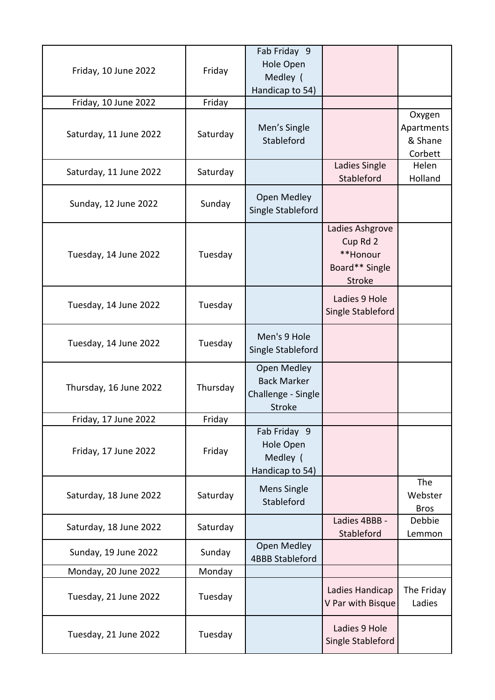| Friday, 10 June 2022   | Friday   | Fab Friday 9<br>Hole Open<br>Medley (<br>Handicap to 54)                 |                                                                            |                                            |
|------------------------|----------|--------------------------------------------------------------------------|----------------------------------------------------------------------------|--------------------------------------------|
| Friday, 10 June 2022   | Friday   |                                                                          |                                                                            |                                            |
| Saturday, 11 June 2022 | Saturday | Men's Single<br>Stableford                                               |                                                                            | Oxygen<br>Apartments<br>& Shane<br>Corbett |
| Saturday, 11 June 2022 | Saturday |                                                                          | Ladies Single<br>Stableford                                                | Helen<br>Holland                           |
| Sunday, 12 June 2022   | Sunday   | Open Medley<br>Single Stableford                                         |                                                                            |                                            |
| Tuesday, 14 June 2022  | Tuesday  |                                                                          | Ladies Ashgrove<br>Cup Rd 2<br>**Honour<br>Board** Single<br><b>Stroke</b> |                                            |
| Tuesday, 14 June 2022  | Tuesday  |                                                                          | Ladies 9 Hole<br>Single Stableford                                         |                                            |
| Tuesday, 14 June 2022  | Tuesday  | Men's 9 Hole<br>Single Stableford                                        |                                                                            |                                            |
| Thursday, 16 June 2022 | Thursday | Open Medley<br><b>Back Marker</b><br>Challenge - Single<br><b>Stroke</b> |                                                                            |                                            |
| Friday, 17 June 2022   | Friday   |                                                                          |                                                                            |                                            |
| Friday, 17 June 2022   | Friday   | Fab Friday 9<br>Hole Open<br>Medley (<br>Handicap to 54)                 |                                                                            |                                            |
| Saturday, 18 June 2022 | Saturday | Mens Single<br>Stableford                                                |                                                                            | The<br>Webster<br><b>Bros</b>              |
| Saturday, 18 June 2022 | Saturday |                                                                          | Ladies 4BBB -<br>Stableford                                                | Debbie<br>Lemmon                           |
| Sunday, 19 June 2022   | Sunday   | Open Medley<br><b>4BBB Stableford</b>                                    |                                                                            |                                            |
| Monday, 20 June 2022   | Monday   |                                                                          |                                                                            |                                            |
| Tuesday, 21 June 2022  | Tuesday  |                                                                          | Ladies Handicap<br>V Par with Bisque                                       | The Friday<br>Ladies                       |
| Tuesday, 21 June 2022  | Tuesday  |                                                                          | Ladies 9 Hole<br>Single Stableford                                         |                                            |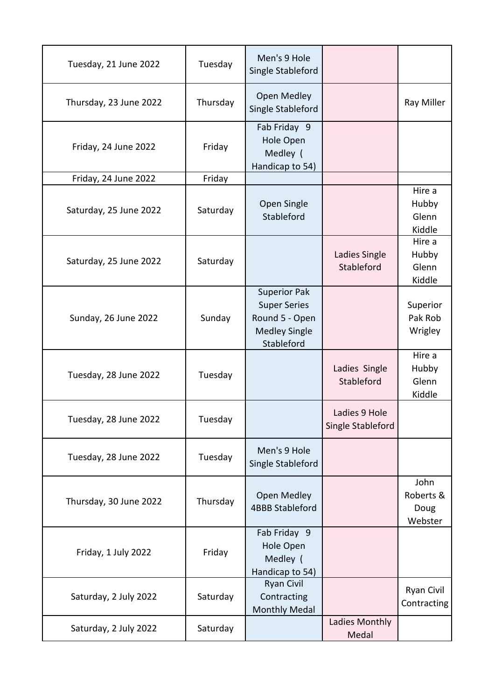| Tuesday, 21 June 2022  | Tuesday  | Men's 9 Hole<br>Single Stableford                                                                  |                                    |                                      |
|------------------------|----------|----------------------------------------------------------------------------------------------------|------------------------------------|--------------------------------------|
| Thursday, 23 June 2022 | Thursday | Open Medley<br>Single Stableford                                                                   |                                    | Ray Miller                           |
| Friday, 24 June 2022   | Friday   | Fab Friday 9<br>Hole Open<br>Medley (<br>Handicap to 54)                                           |                                    |                                      |
| Friday, 24 June 2022   | Friday   |                                                                                                    |                                    |                                      |
| Saturday, 25 June 2022 | Saturday | Open Single<br>Stableford                                                                          |                                    | Hire a<br>Hubby<br>Glenn<br>Kiddle   |
| Saturday, 25 June 2022 | Saturday |                                                                                                    | Ladies Single<br>Stableford        | Hire a<br>Hubby<br>Glenn<br>Kiddle   |
| Sunday, 26 June 2022   | Sunday   | <b>Superior Pak</b><br><b>Super Series</b><br>Round 5 - Open<br><b>Medley Single</b><br>Stableford |                                    | Superior<br>Pak Rob<br>Wrigley       |
| Tuesday, 28 June 2022  | Tuesday  |                                                                                                    | Ladies Single<br>Stableford        | Hire a<br>Hubby<br>Glenn<br>Kiddle   |
| Tuesday, 28 June 2022  | Tuesday  |                                                                                                    | Ladies 9 Hole<br>Single Stableford |                                      |
| Tuesday, 28 June 2022  | Tuesday  | Men's 9 Hole<br>Single Stableford                                                                  |                                    |                                      |
| Thursday, 30 June 2022 | Thursday | Open Medley<br><b>4BBB Stableford</b>                                                              |                                    | John<br>Roberts &<br>Doug<br>Webster |
| Friday, 1 July 2022    | Friday   | Fab Friday 9<br>Hole Open<br>Medley (<br>Handicap to 54)                                           |                                    |                                      |
| Saturday, 2 July 2022  | Saturday | <b>Ryan Civil</b><br>Contracting<br><b>Monthly Medal</b>                                           |                                    | <b>Ryan Civil</b><br>Contracting     |
| Saturday, 2 July 2022  | Saturday |                                                                                                    | Ladies Monthly<br>Medal            |                                      |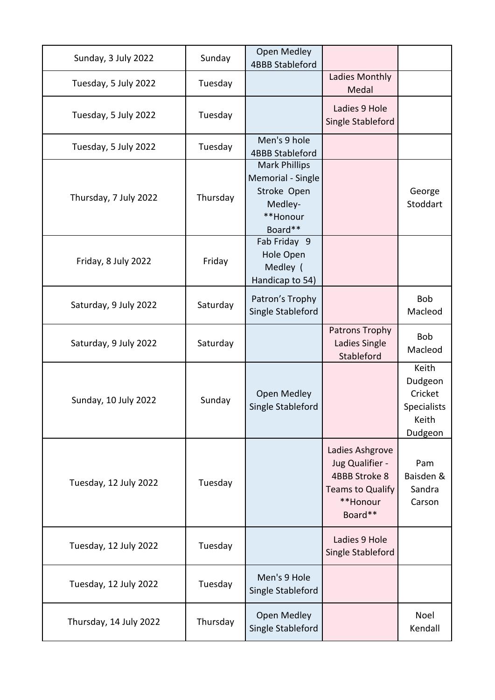| Sunday, 3 July 2022    | Sunday   | Open Medley<br><b>4BBB Stableford</b>                                                      |                                                                                                |                                                                       |
|------------------------|----------|--------------------------------------------------------------------------------------------|------------------------------------------------------------------------------------------------|-----------------------------------------------------------------------|
| Tuesday, 5 July 2022   | Tuesday  |                                                                                            | Ladies Monthly<br>Medal                                                                        |                                                                       |
| Tuesday, 5 July 2022   | Tuesday  |                                                                                            | Ladies 9 Hole<br>Single Stableford                                                             |                                                                       |
| Tuesday, 5 July 2022   | Tuesday  | Men's 9 hole<br><b>4BBB Stableford</b>                                                     |                                                                                                |                                                                       |
| Thursday, 7 July 2022  | Thursday | <b>Mark Phillips</b><br>Memorial - Single<br>Stroke Open<br>Medley-<br>**Honour<br>Board** |                                                                                                | George<br>Stoddart                                                    |
| Friday, 8 July 2022    | Friday   | Fab Friday 9<br><b>Hole Open</b><br>Medley (<br>Handicap to 54)                            |                                                                                                |                                                                       |
| Saturday, 9 July 2022  | Saturday | Patron's Trophy<br>Single Stableford                                                       |                                                                                                | <b>Bob</b><br>Macleod                                                 |
| Saturday, 9 July 2022  | Saturday |                                                                                            | Patrons Trophy<br>Ladies Single<br>Stableford                                                  | <b>Bob</b><br>Macleod                                                 |
| Sunday, 10 July 2022   | Sunday   | Open Medley<br>Single Stableford                                                           |                                                                                                | Keith<br>Dudgeon<br>Cricket<br><b>Specialists</b><br>Keith<br>Dudgeon |
| Tuesday, 12 July 2022  | Tuesday  |                                                                                            | Ladies Ashgrove<br>Jug Qualifier -<br>4BBB Stroke 8<br>Teams to Qualify<br>**Honour<br>Board** | Pam<br>Baisden &<br>Sandra<br>Carson                                  |
| Tuesday, 12 July 2022  | Tuesday  |                                                                                            | Ladies 9 Hole<br>Single Stableford                                                             |                                                                       |
| Tuesday, 12 July 2022  | Tuesday  | Men's 9 Hole<br>Single Stableford                                                          |                                                                                                |                                                                       |
| Thursday, 14 July 2022 | Thursday | Open Medley<br>Single Stableford                                                           |                                                                                                | Noel<br>Kendall                                                       |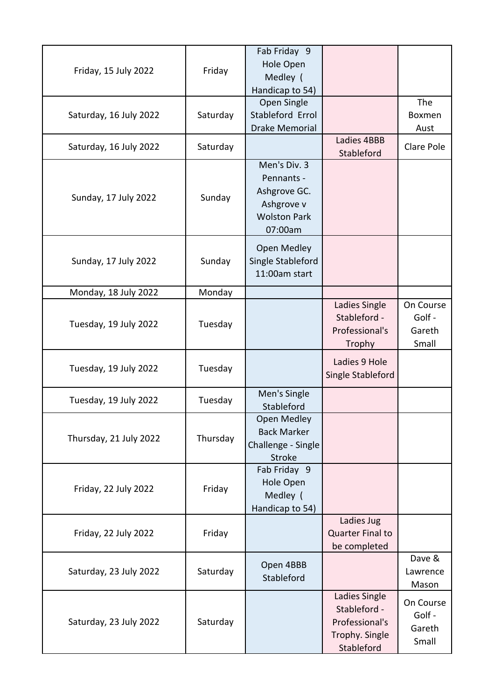| Friday, 15 July 2022   | Friday   | Fab Friday 9<br>Hole Open<br>Medley (<br>Handicap to 54)                                   |                                                                                 |                                        |
|------------------------|----------|--------------------------------------------------------------------------------------------|---------------------------------------------------------------------------------|----------------------------------------|
| Saturday, 16 July 2022 | Saturday | Open Single<br>Stableford Errol<br><b>Drake Memorial</b>                                   |                                                                                 | The<br><b>Boxmen</b><br>Aust           |
| Saturday, 16 July 2022 | Saturday |                                                                                            | Ladies 4BBB<br>Stableford                                                       | Clare Pole                             |
| Sunday, 17 July 2022   | Sunday   | Men's Div. 3<br>Pennants -<br>Ashgrove GC.<br>Ashgrove v<br><b>Wolston Park</b><br>07:00am |                                                                                 |                                        |
| Sunday, 17 July 2022   | Sunday   | Open Medley<br>Single Stableford<br>11:00am start                                          |                                                                                 |                                        |
| Monday, 18 July 2022   | Monday   |                                                                                            |                                                                                 |                                        |
| Tuesday, 19 July 2022  | Tuesday  |                                                                                            | Ladies Single<br>Stableford -<br>Professional's<br>Trophy                       | On Course<br>Golf -<br>Gareth<br>Small |
| Tuesday, 19 July 2022  | Tuesday  |                                                                                            | Ladies 9 Hole<br>Single Stableford                                              |                                        |
| Tuesday, 19 July 2022  | Tuesday  | Men's Single<br>Stableford                                                                 |                                                                                 |                                        |
| Thursday, 21 July 2022 | Thursday | Open Medley<br><b>Back Marker</b><br>Challenge - Single<br><b>Stroke</b>                   |                                                                                 |                                        |
| Friday, 22 July 2022   | Friday   | Fab Friday 9<br>Hole Open<br>Medley (<br>Handicap to 54)                                   |                                                                                 |                                        |
| Friday, 22 July 2022   | Friday   |                                                                                            | Ladies Jug<br>Quarter Final to<br>be completed                                  |                                        |
| Saturday, 23 July 2022 | Saturday | Open 4BBB<br>Stableford                                                                    |                                                                                 | Dave &<br>Lawrence<br>Mason            |
| Saturday, 23 July 2022 | Saturday |                                                                                            | Ladies Single<br>Stableford -<br>Professional's<br>Trophy. Single<br>Stableford | On Course<br>Golf -<br>Gareth<br>Small |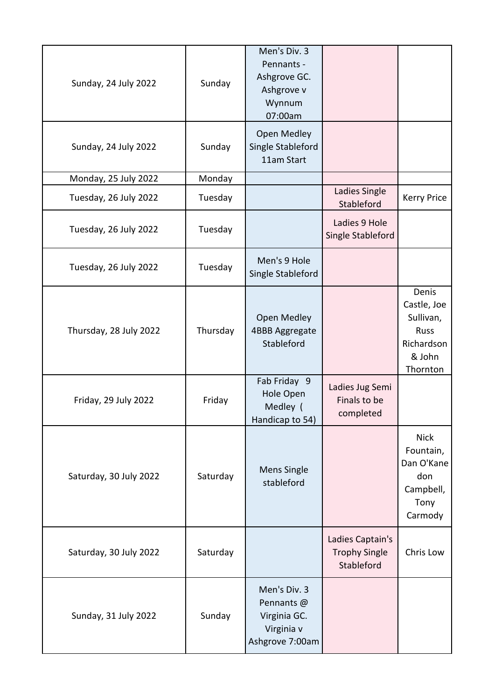| Sunday, 24 July 2022   | Sunday   | Men's Div. 3<br>Pennants -<br>Ashgrove GC.<br>Ashgrove v<br>Wynnum<br>07:00am |                                                        |                                                                               |
|------------------------|----------|-------------------------------------------------------------------------------|--------------------------------------------------------|-------------------------------------------------------------------------------|
| Sunday, 24 July 2022   | Sunday   | Open Medley<br>Single Stableford<br>11am Start                                |                                                        |                                                                               |
| Monday, 25 July 2022   | Monday   |                                                                               |                                                        |                                                                               |
| Tuesday, 26 July 2022  | Tuesday  |                                                                               | Ladies Single<br>Stableford                            | <b>Kerry Price</b>                                                            |
| Tuesday, 26 July 2022  | Tuesday  |                                                                               | Ladies 9 Hole<br>Single Stableford                     |                                                                               |
| Tuesday, 26 July 2022  | Tuesday  | Men's 9 Hole<br>Single Stableford                                             |                                                        |                                                                               |
| Thursday, 28 July 2022 | Thursday | <b>Open Medley</b><br>4BBB Aggregate<br>Stableford                            |                                                        | Denis<br>Castle, Joe<br>Sullivan,<br>Russ<br>Richardson<br>& John<br>Thornton |
| Friday, 29 July 2022   | Friday   | Fab Friday 9<br>Hole Open<br>Medley (<br>Handicap to 54)                      | Ladies Jug Semi<br>Finals to be<br>completed           |                                                                               |
| Saturday, 30 July 2022 | Saturday | <b>Mens Single</b><br>stableford                                              |                                                        | <b>Nick</b><br>Fountain,<br>Dan O'Kane<br>don<br>Campbell,<br>Tony<br>Carmody |
| Saturday, 30 July 2022 | Saturday |                                                                               | Ladies Captain's<br><b>Trophy Single</b><br>Stableford | Chris Low                                                                     |
| Sunday, 31 July 2022   | Sunday   | Men's Div. 3<br>Pennants @<br>Virginia GC.<br>Virginia v<br>Ashgrove 7:00am   |                                                        |                                                                               |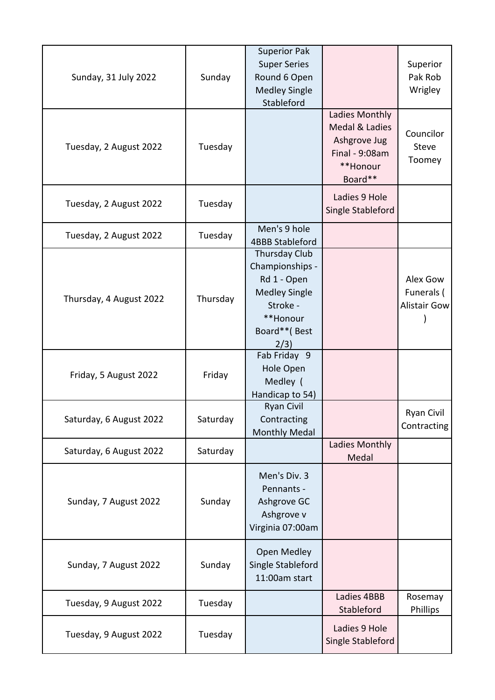| Sunday, 31 July 2022    | Sunday   | <b>Superior Pak</b><br><b>Super Series</b><br>Round 6 Open<br><b>Medley Single</b><br>Stableford                               |                                                                                           | Superior<br>Pak Rob<br>Wrigley         |
|-------------------------|----------|--------------------------------------------------------------------------------------------------------------------------------|-------------------------------------------------------------------------------------------|----------------------------------------|
| Tuesday, 2 August 2022  | Tuesday  |                                                                                                                                | Ladies Monthly<br>Medal & Ladies<br>Ashgrove Jug<br>Final - 9:08am<br>**Honour<br>Board** | Councilor<br><b>Steve</b><br>Toomey    |
| Tuesday, 2 August 2022  | Tuesday  |                                                                                                                                | Ladies 9 Hole<br>Single Stableford                                                        |                                        |
| Tuesday, 2 August 2022  | Tuesday  | Men's 9 hole<br><b>4BBB Stableford</b>                                                                                         |                                                                                           |                                        |
| Thursday, 4 August 2022 | Thursday | <b>Thursday Club</b><br>Championships -<br>Rd 1 - Open<br><b>Medley Single</b><br>Stroke -<br>**Honour<br>Board**(Best<br>2/3) |                                                                                           | Alex Gow<br>Funerals (<br>Alistair Gow |
| Friday, 5 August 2022   | Friday   | Fab Friday 9<br>Hole Open<br>Medley (<br>Handicap to 54)                                                                       |                                                                                           |                                        |
| Saturday, 6 August 2022 | Saturday | <b>Ryan Civil</b><br>Contracting<br><b>Monthly Medal</b>                                                                       |                                                                                           | <b>Ryan Civil</b><br>Contracting       |
| Saturday, 6 August 2022 | Saturday |                                                                                                                                | Ladies Monthly<br>Medal                                                                   |                                        |
| Sunday, 7 August 2022   | Sunday   | Men's Div. 3<br>Pennants -<br>Ashgrove GC<br>Ashgrove v<br>Virginia 07:00am                                                    |                                                                                           |                                        |
| Sunday, 7 August 2022   | Sunday   | Open Medley<br>Single Stableford<br>11:00am start                                                                              |                                                                                           |                                        |
| Tuesday, 9 August 2022  | Tuesday  |                                                                                                                                | Ladies 4BBB<br>Stableford                                                                 | Rosemay<br>Phillips                    |
| Tuesday, 9 August 2022  | Tuesday  |                                                                                                                                | Ladies 9 Hole<br>Single Stableford                                                        |                                        |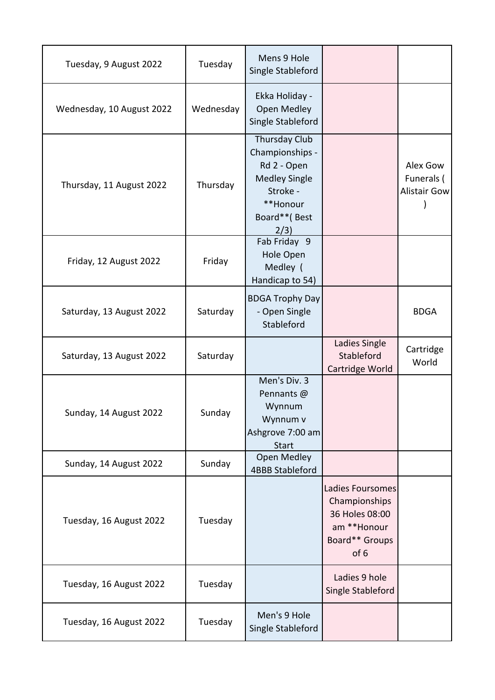| Tuesday, 9 August 2022    | Tuesday   | Mens 9 Hole<br>Single Stableford                                                                                        |                                                                                              |                                               |
|---------------------------|-----------|-------------------------------------------------------------------------------------------------------------------------|----------------------------------------------------------------------------------------------|-----------------------------------------------|
| Wednesday, 10 August 2022 | Wednesday | Ekka Holiday -<br><b>Open Medley</b><br>Single Stableford                                                               |                                                                                              |                                               |
| Thursday, 11 August 2022  | Thursday  | Thursday Club<br>Championships -<br>Rd 2 - Open<br><b>Medley Single</b><br>Stroke -<br>**Honour<br>Board**(Best<br>2/3) |                                                                                              | Alex Gow<br>Funerals (<br><b>Alistair Gow</b> |
| Friday, 12 August 2022    | Friday    | Fab Friday 9<br>Hole Open<br>Medley (<br>Handicap to 54)                                                                |                                                                                              |                                               |
| Saturday, 13 August 2022  | Saturday  | <b>BDGA Trophy Day</b><br>- Open Single<br>Stableford                                                                   |                                                                                              | <b>BDGA</b>                                   |
| Saturday, 13 August 2022  | Saturday  |                                                                                                                         | Ladies Single<br>Stableford<br>Cartridge World                                               | Cartridge<br>World                            |
| Sunday, 14 August 2022    | Sunday    | Men's Div. 3<br>Pennants @<br>Wynnum<br>Wynnum v<br>Ashgrove 7:00 am<br><b>Start</b>                                    |                                                                                              |                                               |
| Sunday, 14 August 2022    | Sunday    | <b>Open Medley</b><br><b>4BBB Stableford</b>                                                                            |                                                                                              |                                               |
| Tuesday, 16 August 2022   | Tuesday   |                                                                                                                         | Ladies Foursomes<br>Championships<br>36 Holes 08:00<br>am **Honour<br>Board** Groups<br>of 6 |                                               |
| Tuesday, 16 August 2022   | Tuesday   |                                                                                                                         | Ladies 9 hole<br>Single Stableford                                                           |                                               |
| Tuesday, 16 August 2022   | Tuesday   | Men's 9 Hole<br>Single Stableford                                                                                       |                                                                                              |                                               |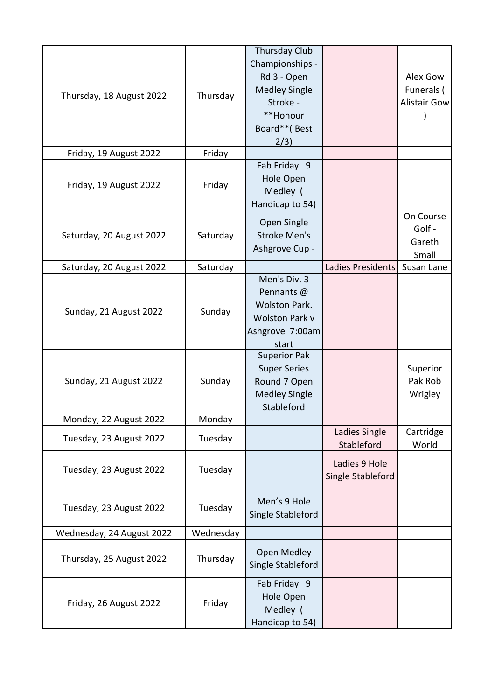| Thursday, 18 August 2022  | Thursday  | <b>Thursday Club</b><br>Championships -<br>Rd 3 - Open<br><b>Medley Single</b><br>Stroke -<br>**Honour<br>Board**(Best<br>2/3) |                                    | Alex Gow<br>Funerals (<br><b>Alistair Gow</b> |
|---------------------------|-----------|--------------------------------------------------------------------------------------------------------------------------------|------------------------------------|-----------------------------------------------|
| Friday, 19 August 2022    | Friday    |                                                                                                                                |                                    |                                               |
| Friday, 19 August 2022    | Friday    | Fab Friday 9<br><b>Hole Open</b><br>Medley (<br>Handicap to 54)                                                                |                                    |                                               |
| Saturday, 20 August 2022  | Saturday  | Open Single<br><b>Stroke Men's</b><br>Ashgrove Cup -                                                                           |                                    | On Course<br>Golf -<br>Gareth<br>Small        |
| Saturday, 20 August 2022  | Saturday  |                                                                                                                                | Ladies Presidents                  | Susan Lane                                    |
| Sunday, 21 August 2022    | Sunday    | Men's Div. 3<br>Pennants @<br><b>Wolston Park.</b><br><b>Wolston Park v</b><br>Ashgrove 7:00am<br>start                        |                                    |                                               |
| Sunday, 21 August 2022    | Sunday    | <b>Superior Pak</b><br><b>Super Series</b><br>Round 7 Open<br><b>Medley Single</b><br>Stableford                               |                                    | Superior<br>Pak Rob<br>Wrigley                |
| Monday, 22 August 2022    | Monday    |                                                                                                                                |                                    |                                               |
| Tuesday, 23 August 2022   | Tuesday   |                                                                                                                                | Ladies Single<br>Stableford        | Cartridge<br>World                            |
| Tuesday, 23 August 2022   | Tuesday   |                                                                                                                                | Ladies 9 Hole<br>Single Stableford |                                               |
| Tuesday, 23 August 2022   | Tuesday   | Men's 9 Hole<br>Single Stableford                                                                                              |                                    |                                               |
| Wednesday, 24 August 2022 | Wednesday |                                                                                                                                |                                    |                                               |
| Thursday, 25 August 2022  | Thursday  | Open Medley<br>Single Stableford                                                                                               |                                    |                                               |
| Friday, 26 August 2022    | Friday    | Fab Friday 9<br>Hole Open<br>Medley (<br>Handicap to 54)                                                                       |                                    |                                               |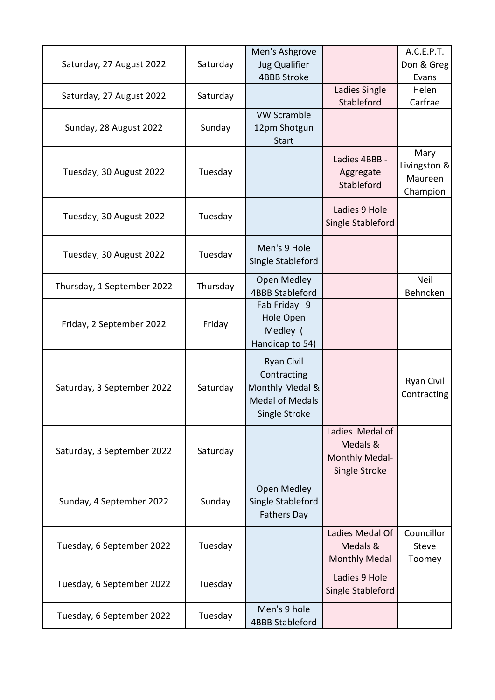| Saturday, 27 August 2022   | Saturday | Men's Ashgrove<br><b>Jug Qualifier</b>                                                         |                                                                       | A.C.E.P.T.<br>Don & Greg                    |
|----------------------------|----------|------------------------------------------------------------------------------------------------|-----------------------------------------------------------------------|---------------------------------------------|
| Saturday, 27 August 2022   | Saturday | <b>4BBB Stroke</b>                                                                             | Ladies Single                                                         | Evans<br>Helen                              |
| Sunday, 28 August 2022     | Sunday   | <b>VW Scramble</b><br>12pm Shotgun<br>Start                                                    | Stableford                                                            | Carfrae                                     |
| Tuesday, 30 August 2022    | Tuesday  |                                                                                                | Ladies 4BBB -<br>Aggregate<br>Stableford                              | Mary<br>Livingston &<br>Maureen<br>Champion |
| Tuesday, 30 August 2022    | Tuesday  |                                                                                                | Ladies 9 Hole<br>Single Stableford                                    |                                             |
| Tuesday, 30 August 2022    | Tuesday  | Men's 9 Hole<br>Single Stableford                                                              |                                                                       |                                             |
| Thursday, 1 September 2022 | Thursday | Open Medley<br><b>4BBB Stableford</b>                                                          |                                                                       | Neil<br>Behncken                            |
| Friday, 2 September 2022   | Friday   | Fab Friday 9<br>Hole Open<br>Medley (<br>Handicap to 54)                                       |                                                                       |                                             |
| Saturday, 3 September 2022 | Saturday | <b>Ryan Civil</b><br>Contracting<br>Monthly Medal &<br><b>Medal of Medals</b><br>Single Stroke |                                                                       | <b>Ryan Civil</b><br>Contracting            |
| Saturday, 3 September 2022 | Saturday |                                                                                                | Ladies Medal of<br>Medals &<br>Monthly Medal-<br><b>Single Stroke</b> |                                             |
| Sunday, 4 September 2022   | Sunday   | Open Medley<br>Single Stableford<br><b>Fathers Day</b>                                         |                                                                       |                                             |
| Tuesday, 6 September 2022  | Tuesday  |                                                                                                | Ladies Medal Of<br>Medals &<br><b>Monthly Medal</b>                   | Councillor<br><b>Steve</b><br>Toomey        |
| Tuesday, 6 September 2022  | Tuesday  |                                                                                                | Ladies 9 Hole<br>Single Stableford                                    |                                             |
| Tuesday, 6 September 2022  | Tuesday  | Men's 9 hole<br><b>4BBB Stableford</b>                                                         |                                                                       |                                             |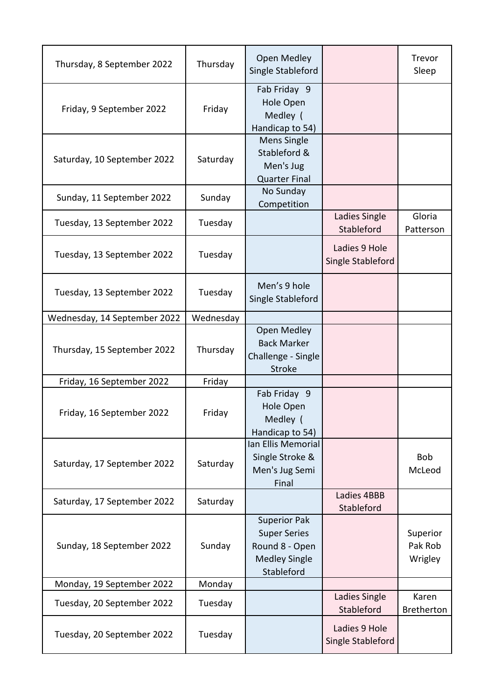| Thursday, 8 September 2022   | Thursday  | <b>Open Medley</b><br>Single Stableford                                                            |                                    | Trevor<br>Sleep                |
|------------------------------|-----------|----------------------------------------------------------------------------------------------------|------------------------------------|--------------------------------|
| Friday, 9 September 2022     | Friday    | Fab Friday 9<br>Hole Open<br>Medley (<br>Handicap to 54)                                           |                                    |                                |
| Saturday, 10 September 2022  | Saturday  | <b>Mens Single</b><br>Stableford &<br>Men's Jug<br><b>Quarter Final</b>                            |                                    |                                |
| Sunday, 11 September 2022    | Sunday    | No Sunday<br>Competition                                                                           |                                    |                                |
| Tuesday, 13 September 2022   | Tuesday   |                                                                                                    | Ladies Single<br>Stableford        | Gloria<br>Patterson            |
| Tuesday, 13 September 2022   | Tuesday   |                                                                                                    | Ladies 9 Hole<br>Single Stableford |                                |
| Tuesday, 13 September 2022   | Tuesday   | Men's 9 hole<br>Single Stableford                                                                  |                                    |                                |
| Wednesday, 14 September 2022 | Wednesday |                                                                                                    |                                    |                                |
| Thursday, 15 September 2022  | Thursday  | <b>Open Medley</b><br><b>Back Marker</b><br>Challenge - Single<br><b>Stroke</b>                    |                                    |                                |
| Friday, 16 September 2022    | Friday    |                                                                                                    |                                    |                                |
| Friday, 16 September 2022    | Friday    | Fab Friday 9<br>Hole Open<br>Medley (<br>Handicap to 54)                                           |                                    |                                |
| Saturday, 17 September 2022  | Saturday  | Ian Ellis Memorial<br>Single Stroke &<br>Men's Jug Semi<br>Final                                   |                                    | Bob<br>McLeod                  |
| Saturday, 17 September 2022  | Saturday  |                                                                                                    | Ladies 4BBB<br>Stableford          |                                |
| Sunday, 18 September 2022    | Sunday    | <b>Superior Pak</b><br><b>Super Series</b><br>Round 8 - Open<br><b>Medley Single</b><br>Stableford |                                    | Superior<br>Pak Rob<br>Wrigley |
| Monday, 19 September 2022    | Monday    |                                                                                                    |                                    |                                |
| Tuesday, 20 September 2022   | Tuesday   |                                                                                                    | Ladies Single<br>Stableford        | Karen<br>Bretherton            |
| Tuesday, 20 September 2022   | Tuesday   |                                                                                                    | Ladies 9 Hole<br>Single Stableford |                                |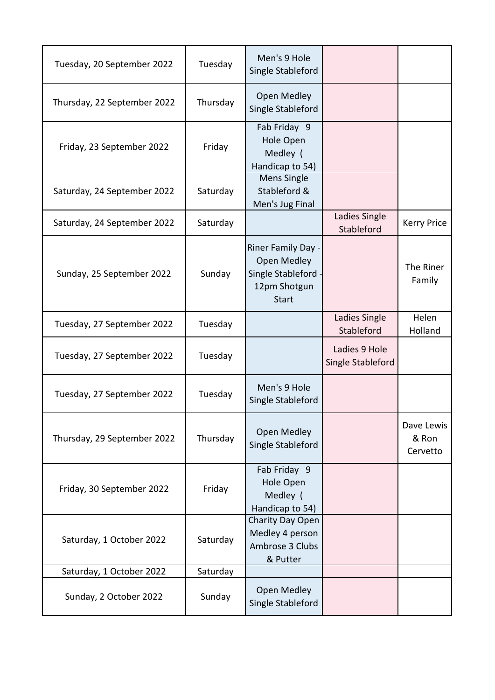| Tuesday, 20 September 2022  | Tuesday  | Men's 9 Hole<br>Single Stableford                                                      |                                    |                                 |
|-----------------------------|----------|----------------------------------------------------------------------------------------|------------------------------------|---------------------------------|
| Thursday, 22 September 2022 | Thursday | <b>Open Medley</b><br>Single Stableford                                                |                                    |                                 |
| Friday, 23 September 2022   | Friday   | Fab Friday 9<br>Hole Open<br>Medley (<br>Handicap to 54)                               |                                    |                                 |
| Saturday, 24 September 2022 | Saturday | Mens Single<br>Stableford &<br>Men's Jug Final                                         |                                    |                                 |
| Saturday, 24 September 2022 | Saturday |                                                                                        | Ladies Single<br>Stableford        | <b>Kerry Price</b>              |
| Sunday, 25 September 2022   | Sunday   | Riner Family Day -<br>Open Medley<br>Single Stableford<br>12pm Shotgun<br><b>Start</b> |                                    | The Riner<br>Family             |
| Tuesday, 27 September 2022  | Tuesday  |                                                                                        | Ladies Single<br>Stableford        | Helen<br>Holland                |
| Tuesday, 27 September 2022  | Tuesday  |                                                                                        | Ladies 9 Hole<br>Single Stableford |                                 |
| Tuesday, 27 September 2022  | Tuesday  | Men's 9 Hole<br>Single Stableford                                                      |                                    |                                 |
| Thursday, 29 September 2022 | Thursday | Open Medley<br>Single Stableford                                                       |                                    | Dave Lewis<br>& Ron<br>Cervetto |
| Friday, 30 September 2022   | Friday   | Fab Friday 9<br>Hole Open<br>Medley (<br>Handicap to 54)                               |                                    |                                 |
| Saturday, 1 October 2022    | Saturday | Charity Day Open<br>Medley 4 person<br>Ambrose 3 Clubs<br>& Putter                     |                                    |                                 |
| Saturday, 1 October 2022    | Saturday |                                                                                        |                                    |                                 |
| Sunday, 2 October 2022      | Sunday   | Open Medley<br>Single Stableford                                                       |                                    |                                 |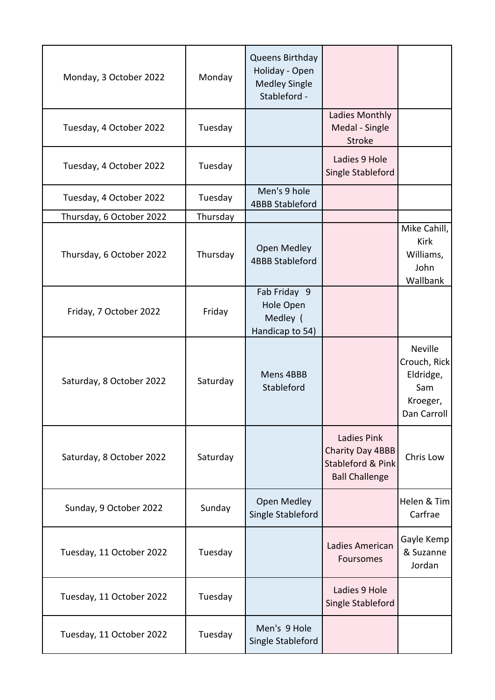| Monday, 3 October 2022   | Monday   | Queens Birthday<br>Holiday - Open<br><b>Medley Single</b><br>Stableford - |                                                                                      |                                                                               |
|--------------------------|----------|---------------------------------------------------------------------------|--------------------------------------------------------------------------------------|-------------------------------------------------------------------------------|
| Tuesday, 4 October 2022  | Tuesday  |                                                                           | Ladies Monthly<br>Medal - Single<br><b>Stroke</b>                                    |                                                                               |
| Tuesday, 4 October 2022  | Tuesday  |                                                                           | Ladies 9 Hole<br>Single Stableford                                                   |                                                                               |
| Tuesday, 4 October 2022  | Tuesday  | Men's 9 hole<br><b>4BBB Stableford</b>                                    |                                                                                      |                                                                               |
| Thursday, 6 October 2022 | Thursday |                                                                           |                                                                                      |                                                                               |
| Thursday, 6 October 2022 | Thursday | <b>Open Medley</b><br><b>4BBB Stableford</b>                              |                                                                                      | Mike Cahill,<br>Kirk<br>Williams,<br>John<br>Wallbank                         |
| Friday, 7 October 2022   | Friday   | Fab Friday 9<br>Hole Open<br>Medley (<br>Handicap to 54)                  |                                                                                      |                                                                               |
| Saturday, 8 October 2022 | Saturday | Mens 4BBB<br>Stableford                                                   |                                                                                      | <b>Neville</b><br>Crouch, Rick<br>Eldridge,<br>Sam<br>Kroeger,<br>Dan Carroll |
| Saturday, 8 October 2022 | Saturday |                                                                           | <b>Ladies Pink</b><br>Charity Day 4BBB<br>Stableford & Pink<br><b>Ball Challenge</b> | Chris Low                                                                     |
| Sunday, 9 October 2022   | Sunday   | Open Medley<br>Single Stableford                                          |                                                                                      | Helen & Tim<br>Carfrae                                                        |
| Tuesday, 11 October 2022 | Tuesday  |                                                                           | Ladies American<br>Foursomes                                                         | Gayle Kemp<br>& Suzanne<br>Jordan                                             |
| Tuesday, 11 October 2022 | Tuesday  |                                                                           | Ladies 9 Hole<br>Single Stableford                                                   |                                                                               |
| Tuesday, 11 October 2022 | Tuesday  | Men's 9 Hole<br>Single Stableford                                         |                                                                                      |                                                                               |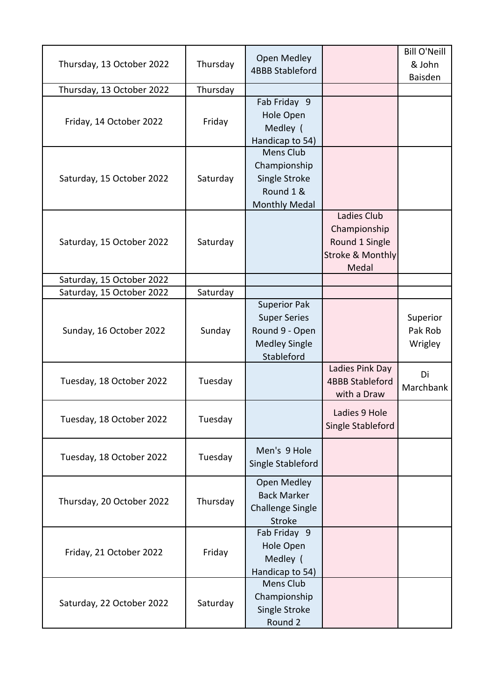| Thursday, 13 October 2022 | Thursday | <b>Open Medley</b><br><b>4BBB Stableford</b>                                                       |                                                                                       | <b>Bill O'Neill</b><br>& John  |
|---------------------------|----------|----------------------------------------------------------------------------------------------------|---------------------------------------------------------------------------------------|--------------------------------|
| Thursday, 13 October 2022 | Thursday |                                                                                                    |                                                                                       | Baisden                        |
| Friday, 14 October 2022   | Friday   | Fab Friday 9<br>Hole Open<br>Medley (<br>Handicap to 54)                                           |                                                                                       |                                |
| Saturday, 15 October 2022 | Saturday | <b>Mens Club</b><br>Championship<br>Single Stroke<br>Round 1 &<br><b>Monthly Medal</b>             |                                                                                       |                                |
| Saturday, 15 October 2022 | Saturday |                                                                                                    | Ladies Club<br>Championship<br>Round 1 Single<br><b>Stroke &amp; Monthly</b><br>Medal |                                |
| Saturday, 15 October 2022 |          |                                                                                                    |                                                                                       |                                |
| Saturday, 15 October 2022 | Saturday |                                                                                                    |                                                                                       |                                |
| Sunday, 16 October 2022   | Sunday   | <b>Superior Pak</b><br><b>Super Series</b><br>Round 9 - Open<br><b>Medley Single</b><br>Stableford |                                                                                       | Superior<br>Pak Rob<br>Wrigley |
| Tuesday, 18 October 2022  | Tuesday  |                                                                                                    | Ladies Pink Day<br><b>4BBB Stableford</b><br>with a Draw                              | Di<br>Marchbank                |
| Tuesday, 18 October 2022  | Tuesday  |                                                                                                    | Ladies 9 Hole<br>Single Stableford                                                    |                                |
| Tuesday, 18 October 2022  | Tuesday  | Men's 9 Hole<br>Single Stableford                                                                  |                                                                                       |                                |
| Thursday, 20 October 2022 | Thursday | Open Medley<br><b>Back Marker</b><br><b>Challenge Single</b><br>Stroke                             |                                                                                       |                                |
| Friday, 21 October 2022   | Friday   | Fab Friday 9<br>Hole Open<br>Medley (<br>Handicap to 54)                                           |                                                                                       |                                |
| Saturday, 22 October 2022 | Saturday | <b>Mens Club</b><br>Championship<br>Single Stroke<br>Round 2                                       |                                                                                       |                                |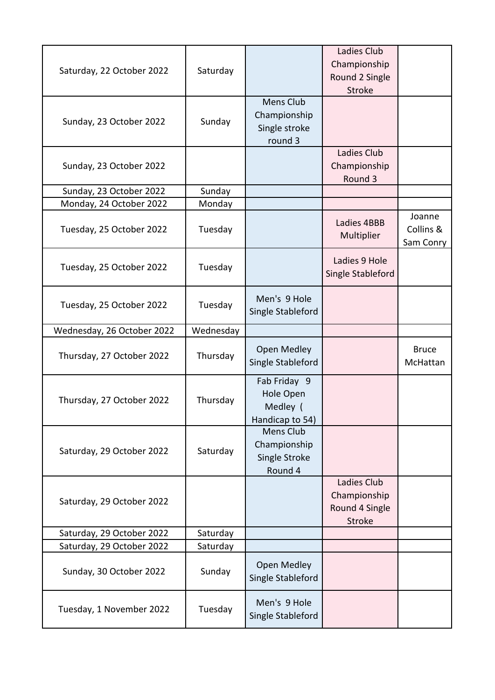| Saturday, 22 October 2022  | Saturday  |                                                          | Ladies Club<br>Championship<br>Round 2 Single<br>Stroke |                                  |
|----------------------------|-----------|----------------------------------------------------------|---------------------------------------------------------|----------------------------------|
| Sunday, 23 October 2022    | Sunday    | Mens Club<br>Championship<br>Single stroke<br>round 3    |                                                         |                                  |
| Sunday, 23 October 2022    |           |                                                          | Ladies Club<br>Championship<br>Round 3                  |                                  |
| Sunday, 23 October 2022    | Sunday    |                                                          |                                                         |                                  |
| Monday, 24 October 2022    | Monday    |                                                          |                                                         |                                  |
| Tuesday, 25 October 2022   | Tuesday   |                                                          | Ladies 4BBB<br>Multiplier                               | Joanne<br>Collins &<br>Sam Conry |
| Tuesday, 25 October 2022   | Tuesday   |                                                          | Ladies 9 Hole<br>Single Stableford                      |                                  |
| Tuesday, 25 October 2022   | Tuesday   | Men's 9 Hole<br>Single Stableford                        |                                                         |                                  |
| Wednesday, 26 October 2022 | Wednesday |                                                          |                                                         |                                  |
| Thursday, 27 October 2022  | Thursday  | Open Medley<br>Single Stableford                         |                                                         | <b>Bruce</b><br>McHattan         |
| Thursday, 27 October 2022  | Thursday  | Fab Friday 9<br>Hole Open<br>Medley (<br>Handicap to 54) |                                                         |                                  |
| Saturday, 29 October 2022  | Saturday  | Mens Club<br>Championship<br>Single Stroke<br>Round 4    |                                                         |                                  |
| Saturday, 29 October 2022  |           |                                                          | Ladies Club<br>Championship<br>Round 4 Single<br>Stroke |                                  |
| Saturday, 29 October 2022  | Saturday  |                                                          |                                                         |                                  |
| Saturday, 29 October 2022  | Saturday  |                                                          |                                                         |                                  |
| Sunday, 30 October 2022    | Sunday    | Open Medley<br>Single Stableford                         |                                                         |                                  |
| Tuesday, 1 November 2022   | Tuesday   | Men's 9 Hole<br>Single Stableford                        |                                                         |                                  |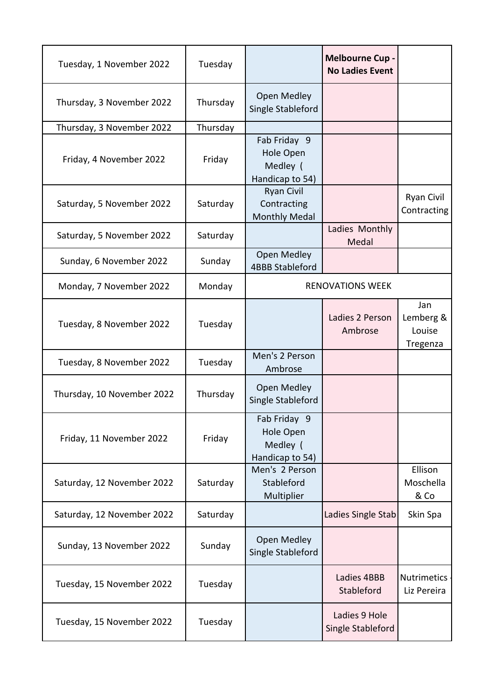| Tuesday, 1 November 2022   | Tuesday  |                                                          | <b>Melbourne Cup -</b><br><b>No Ladies Event</b> |                                        |
|----------------------------|----------|----------------------------------------------------------|--------------------------------------------------|----------------------------------------|
| Thursday, 3 November 2022  | Thursday | Open Medley<br>Single Stableford                         |                                                  |                                        |
| Thursday, 3 November 2022  | Thursday |                                                          |                                                  |                                        |
| Friday, 4 November 2022    | Friday   | Fab Friday 9<br>Hole Open<br>Medley (<br>Handicap to 54) |                                                  |                                        |
| Saturday, 5 November 2022  | Saturday | <b>Ryan Civil</b><br>Contracting<br>Monthly Medal        |                                                  | <b>Ryan Civil</b><br>Contracting       |
| Saturday, 5 November 2022  | Saturday |                                                          | Ladies Monthly<br>Medal                          |                                        |
| Sunday, 6 November 2022    | Sunday   | Open Medley<br><b>4BBB Stableford</b>                    |                                                  |                                        |
| Monday, 7 November 2022    | Monday   |                                                          | <b>RENOVATIONS WEEK</b>                          |                                        |
| Tuesday, 8 November 2022   | Tuesday  |                                                          | Ladies 2 Person<br>Ambrose                       | Jan<br>Lemberg &<br>Louise<br>Tregenza |
| Tuesday, 8 November 2022   | Tuesday  | Men's 2 Person<br>Ambrose                                |                                                  |                                        |
| Thursday, 10 November 2022 | Thursday | Open Medley<br>Single Stableford                         |                                                  |                                        |
| Friday, 11 November 2022   | Friday   | Fab Friday 9<br>Hole Open<br>Medley (<br>Handicap to 54) |                                                  |                                        |
| Saturday, 12 November 2022 | Saturday | Men's 2 Person<br>Stableford<br>Multiplier               |                                                  | Ellison<br>Moschella<br>& Co           |
| Saturday, 12 November 2022 | Saturday |                                                          | Ladies Single Stab                               | Skin Spa                               |
| Sunday, 13 November 2022   | Sunday   | Open Medley<br>Single Stableford                         |                                                  |                                        |
| Tuesday, 15 November 2022  | Tuesday  |                                                          | Ladies 4BBB<br>Stableford                        | <b>Nutrimetics</b><br>Liz Pereira      |
| Tuesday, 15 November 2022  | Tuesday  |                                                          | Ladies 9 Hole<br>Single Stableford               |                                        |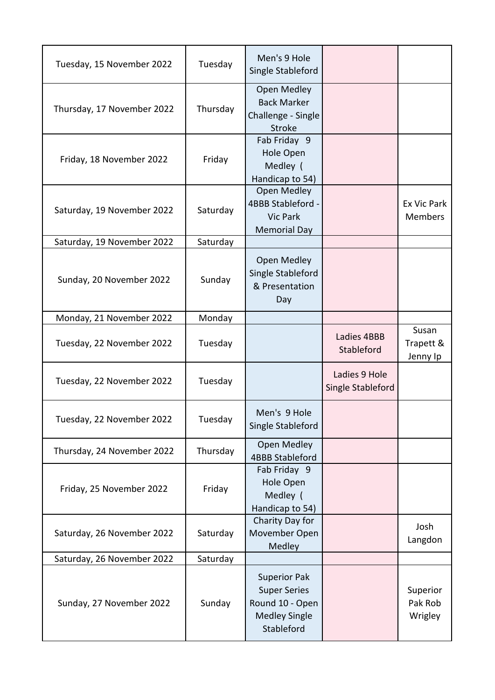| Tuesday, 15 November 2022  | Tuesday  | Men's 9 Hole<br>Single Stableford                                                                   |                                    |                                      |
|----------------------------|----------|-----------------------------------------------------------------------------------------------------|------------------------------------|--------------------------------------|
| Thursday, 17 November 2022 | Thursday | Open Medley<br><b>Back Marker</b><br>Challenge - Single<br><b>Stroke</b>                            |                                    |                                      |
| Friday, 18 November 2022   | Friday   | Fab Friday 9<br>Hole Open<br>Medley (<br>Handicap to 54)                                            |                                    |                                      |
| Saturday, 19 November 2022 | Saturday | Open Medley<br>4BBB Stableford -<br><b>Vic Park</b><br><b>Memorial Day</b>                          |                                    | <b>Ex Vic Park</b><br><b>Members</b> |
| Saturday, 19 November 2022 | Saturday |                                                                                                     |                                    |                                      |
| Sunday, 20 November 2022   | Sunday   | Open Medley<br>Single Stableford<br>& Presentation<br>Day                                           |                                    |                                      |
| Monday, 21 November 2022   | Monday   |                                                                                                     |                                    |                                      |
| Tuesday, 22 November 2022  | Tuesday  |                                                                                                     | Ladies 4BBB<br>Stableford          | Susan<br>Trapett &<br>Jenny Ip       |
| Tuesday, 22 November 2022  | Tuesday  |                                                                                                     | Ladies 9 Hole<br>Single Stableford |                                      |
| Tuesday, 22 November 2022  | Tuesday  | Men's 9 Hole<br>Single Stableford                                                                   |                                    |                                      |
| Thursday, 24 November 2022 | Thursday | <b>Open Medley</b><br><b>4BBB Stableford</b>                                                        |                                    |                                      |
| Friday, 25 November 2022   | Friday   | Fab Friday 9<br>Hole Open<br>Medley (<br>Handicap to 54)                                            |                                    |                                      |
| Saturday, 26 November 2022 | Saturday | Charity Day for<br>Movember Open<br>Medley                                                          |                                    | Josh<br>Langdon                      |
| Saturday, 26 November 2022 | Saturday |                                                                                                     |                                    |                                      |
| Sunday, 27 November 2022   | Sunday   | <b>Superior Pak</b><br><b>Super Series</b><br>Round 10 - Open<br><b>Medley Single</b><br>Stableford |                                    | Superior<br>Pak Rob<br>Wrigley       |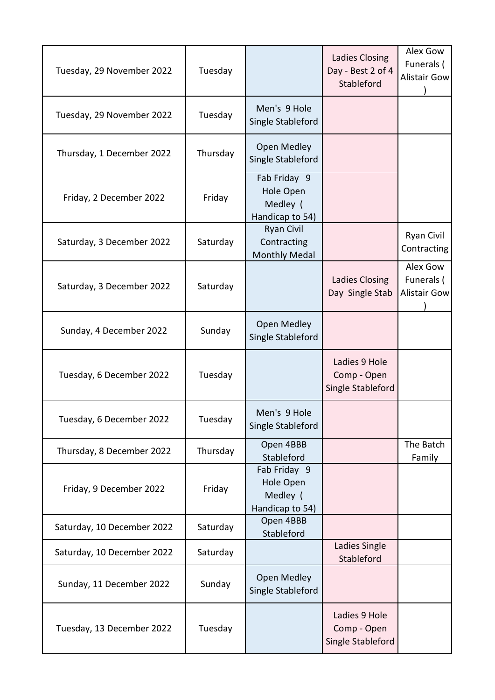| Tuesday, 29 November 2022  | Tuesday  |                                                          | Ladies Closing<br>Day - Best 2 of 4<br>Stableford | Alex Gow<br>Funerals (<br><b>Alistair Gow</b> |
|----------------------------|----------|----------------------------------------------------------|---------------------------------------------------|-----------------------------------------------|
| Tuesday, 29 November 2022  | Tuesday  | Men's 9 Hole<br>Single Stableford                        |                                                   |                                               |
| Thursday, 1 December 2022  | Thursday | Open Medley<br>Single Stableford                         |                                                   |                                               |
| Friday, 2 December 2022    | Friday   | Fab Friday 9<br>Hole Open<br>Medley (<br>Handicap to 54) |                                                   |                                               |
| Saturday, 3 December 2022  | Saturday | <b>Ryan Civil</b><br>Contracting<br><b>Monthly Medal</b> |                                                   | Ryan Civil<br>Contracting                     |
| Saturday, 3 December 2022  | Saturday |                                                          | Ladies Closing<br>Day Single Stab                 | Alex Gow<br>Funerals (<br><b>Alistair Gow</b> |
| Sunday, 4 December 2022    | Sunday   | <b>Open Medley</b><br>Single Stableford                  |                                                   |                                               |
| Tuesday, 6 December 2022   | Tuesday  |                                                          | Ladies 9 Hole<br>Comp - Open<br>Single Stableford |                                               |
| Tuesday, 6 December 2022   | Tuesday  | Men's 9 Hole<br>Single Stableford                        |                                                   |                                               |
| Thursday, 8 December 2022  | Thursday | Open 4BBB<br>Stableford                                  |                                                   | The Batch<br>Family                           |
| Friday, 9 December 2022    | Friday   | Fab Friday 9<br>Hole Open<br>Medley (<br>Handicap to 54) |                                                   |                                               |
| Saturday, 10 December 2022 | Saturday | Open 4BBB<br>Stableford                                  |                                                   |                                               |
| Saturday, 10 December 2022 | Saturday |                                                          | Ladies Single<br>Stableford                       |                                               |
| Sunday, 11 December 2022   | Sunday   | Open Medley<br>Single Stableford                         |                                                   |                                               |
| Tuesday, 13 December 2022  | Tuesday  |                                                          | Ladies 9 Hole<br>Comp - Open<br>Single Stableford |                                               |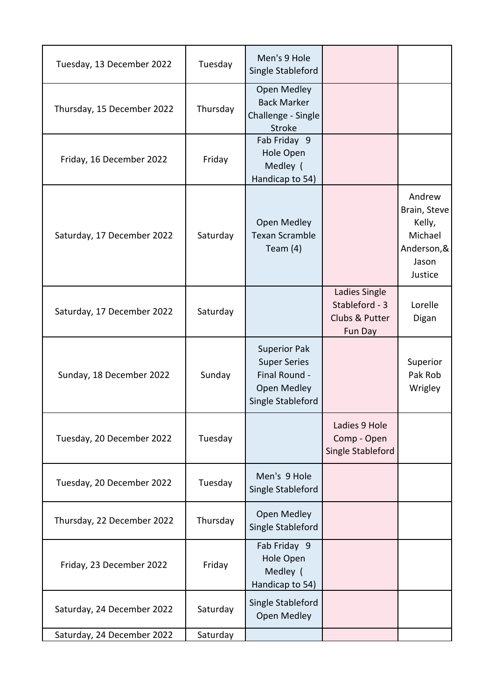| Tuesday, 13 December 2022  | Tuesday  | Men's 9 Hole<br>Single Stableford                                                               |                                                              |                                                                               |
|----------------------------|----------|-------------------------------------------------------------------------------------------------|--------------------------------------------------------------|-------------------------------------------------------------------------------|
| Thursday, 15 December 2022 | Thursday | Open Medley<br><b>Back Marker</b><br>Challenge - Single<br><b>Stroke</b>                        |                                                              |                                                                               |
| Friday, 16 December 2022   | Friday   | Fab Friday 9<br>Hole Open<br>Medley (<br>Handicap to 54)                                        |                                                              |                                                                               |
| Saturday, 17 December 2022 | Saturday | Open Medley<br><b>Texan Scramble</b><br>Team $(4)$                                              |                                                              | Andrew<br>Brain, Steve<br>Kelly,<br>Michael<br>Anderson,&<br>Jason<br>Justice |
| Saturday, 17 December 2022 | Saturday |                                                                                                 | Ladies Single<br>Stableford - 3<br>Clubs & Putter<br>Fun Day | Lorelle<br>Digan                                                              |
| Sunday, 18 December 2022   | Sunday   | <b>Superior Pak</b><br><b>Super Series</b><br>Final Round -<br>Open Medley<br>Single Stableford |                                                              | Superior<br>Pak Rob<br>Wrigley                                                |
| Tuesday, 20 December 2022  | Tuesday  |                                                                                                 | Ladies 9 Hole<br>Comp - Open<br>Single Stableford            |                                                                               |
| Tuesday, 20 December 2022  | Tuesday  | Men's 9 Hole<br>Single Stableford                                                               |                                                              |                                                                               |
| Thursday, 22 December 2022 | Thursday | <b>Open Medley</b><br>Single Stableford                                                         |                                                              |                                                                               |
| Friday, 23 December 2022   | Friday   | Fab Friday 9<br>Hole Open<br>Medley (<br>Handicap to 54)                                        |                                                              |                                                                               |
| Saturday, 24 December 2022 | Saturday | Single Stableford<br>Open Medley                                                                |                                                              |                                                                               |
| Saturday, 24 December 2022 | Saturday |                                                                                                 |                                                              |                                                                               |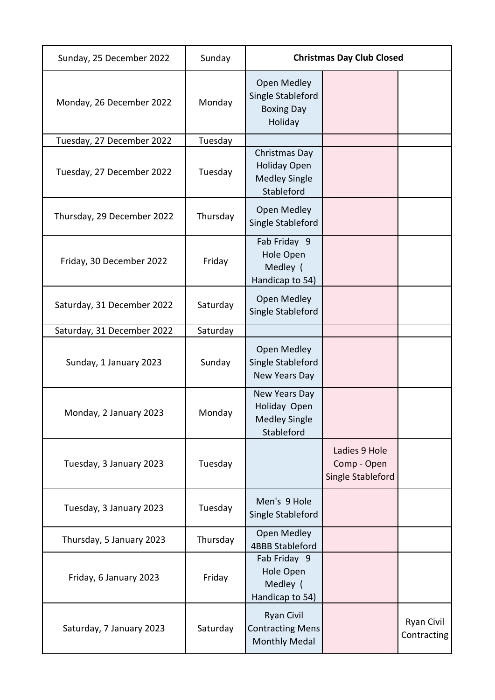| Sunday, 25 December 2022   | Sunday   | <b>Christmas Day Club Closed</b>                                           |                                                   |                                  |
|----------------------------|----------|----------------------------------------------------------------------------|---------------------------------------------------|----------------------------------|
| Monday, 26 December 2022   | Monday   | Open Medley<br>Single Stableford<br><b>Boxing Day</b><br>Holiday           |                                                   |                                  |
| Tuesday, 27 December 2022  | Tuesday  |                                                                            |                                                   |                                  |
| Tuesday, 27 December 2022  | Tuesday  | Christmas Day<br><b>Holiday Open</b><br><b>Medley Single</b><br>Stableford |                                                   |                                  |
| Thursday, 29 December 2022 | Thursday | <b>Open Medley</b><br>Single Stableford                                    |                                                   |                                  |
| Friday, 30 December 2022   | Friday   | Fab Friday 9<br>Hole Open<br>Medley (<br>Handicap to 54)                   |                                                   |                                  |
| Saturday, 31 December 2022 | Saturday | Open Medley<br>Single Stableford                                           |                                                   |                                  |
| Saturday, 31 December 2022 | Saturday |                                                                            |                                                   |                                  |
| Sunday, 1 January 2023     | Sunday   | Open Medley<br>Single Stableford<br>New Years Day                          |                                                   |                                  |
| Monday, 2 January 2023     | Monday   | New Years Day<br>Holiday Open<br><b>Medley Single</b><br>Stableford        |                                                   |                                  |
| Tuesday, 3 January 2023    | Tuesday  |                                                                            | Ladies 9 Hole<br>Comp - Open<br>Single Stableford |                                  |
| Tuesday, 3 January 2023    | Tuesday  | Men's 9 Hole<br>Single Stableford                                          |                                                   |                                  |
| Thursday, 5 January 2023   | Thursday | Open Medley<br><b>4BBB Stableford</b>                                      |                                                   |                                  |
| Friday, 6 January 2023     | Friday   | Fab Friday 9<br>Hole Open<br>Medley (<br>Handicap to 54)                   |                                                   |                                  |
| Saturday, 7 January 2023   | Saturday | <b>Ryan Civil</b><br><b>Contracting Mens</b><br><b>Monthly Medal</b>       |                                                   | <b>Ryan Civil</b><br>Contracting |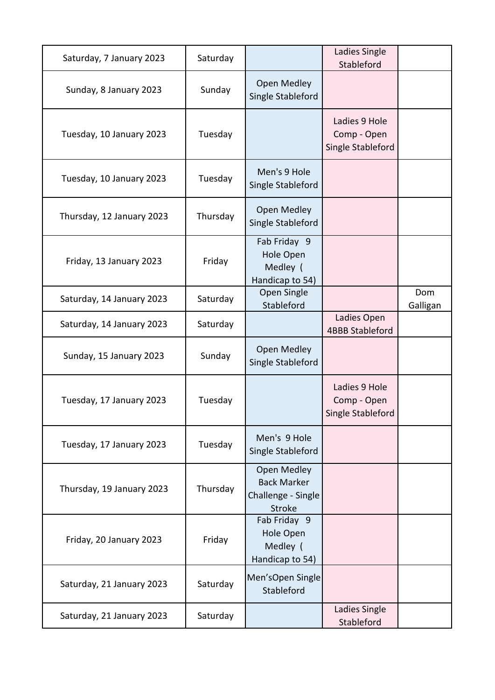| Saturday, 7 January 2023  | Saturday |                                                                          | Ladies Single<br>Stableford                       |                 |
|---------------------------|----------|--------------------------------------------------------------------------|---------------------------------------------------|-----------------|
| Sunday, 8 January 2023    | Sunday   | Open Medley<br>Single Stableford                                         |                                                   |                 |
| Tuesday, 10 January 2023  | Tuesday  |                                                                          | Ladies 9 Hole<br>Comp - Open<br>Single Stableford |                 |
| Tuesday, 10 January 2023  | Tuesday  | Men's 9 Hole<br>Single Stableford                                        |                                                   |                 |
| Thursday, 12 January 2023 | Thursday | Open Medley<br>Single Stableford                                         |                                                   |                 |
| Friday, 13 January 2023   | Friday   | Fab Friday 9<br>Hole Open<br>Medley (<br>Handicap to 54)                 |                                                   |                 |
| Saturday, 14 January 2023 | Saturday | <b>Open Single</b><br>Stableford                                         |                                                   | Dom<br>Galligan |
| Saturday, 14 January 2023 | Saturday |                                                                          | Ladies Open<br><b>4BBB Stableford</b>             |                 |
| Sunday, 15 January 2023   | Sunday   | Open Medley<br>Single Stableford                                         |                                                   |                 |
| Tuesday, 17 January 2023  | Tuesday  |                                                                          | Ladies 9 Hole<br>Comp - Open<br>Single Stableford |                 |
| Tuesday, 17 January 2023  | Tuesday  | Men's 9 Hole<br>Single Stableford                                        |                                                   |                 |
| Thursday, 19 January 2023 | Thursday | Open Medley<br><b>Back Marker</b><br>Challenge - Single<br><b>Stroke</b> |                                                   |                 |
| Friday, 20 January 2023   | Friday   | Fab Friday 9<br>Hole Open<br>Medley (<br>Handicap to 54)                 |                                                   |                 |
| Saturday, 21 January 2023 | Saturday | Men'sOpen Single<br>Stableford                                           |                                                   |                 |
| Saturday, 21 January 2023 | Saturday |                                                                          | Ladies Single<br>Stableford                       |                 |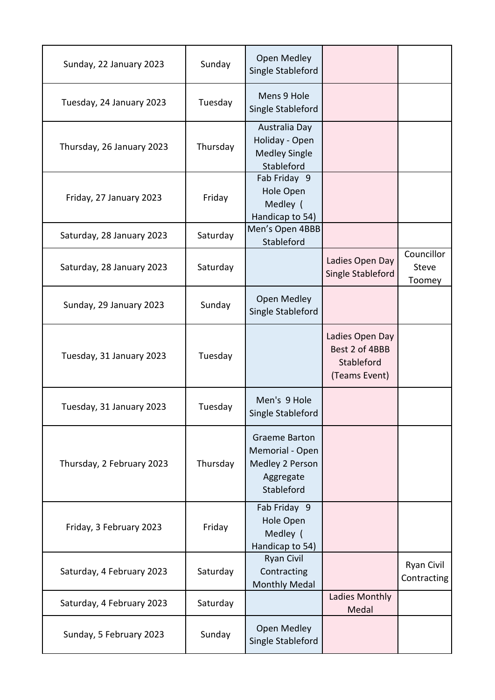| Sunday, 22 January 2023   | Sunday   | Open Medley<br>Single Stableford                                                      |                                                                  |                                      |
|---------------------------|----------|---------------------------------------------------------------------------------------|------------------------------------------------------------------|--------------------------------------|
| Tuesday, 24 January 2023  | Tuesday  | Mens 9 Hole<br>Single Stableford                                                      |                                                                  |                                      |
| Thursday, 26 January 2023 | Thursday | Australia Day<br>Holiday - Open<br><b>Medley Single</b><br>Stableford                 |                                                                  |                                      |
| Friday, 27 January 2023   | Friday   | Fab Friday 9<br>Hole Open<br>Medley (<br>Handicap to 54)                              |                                                                  |                                      |
| Saturday, 28 January 2023 | Saturday | Men's Open 4BBB<br>Stableford                                                         |                                                                  |                                      |
| Saturday, 28 January 2023 | Saturday |                                                                                       | Ladies Open Day<br>Single Stableford                             | Councillor<br><b>Steve</b><br>Toomey |
| Sunday, 29 January 2023   | Sunday   | <b>Open Medley</b><br>Single Stableford                                               |                                                                  |                                      |
| Tuesday, 31 January 2023  | Tuesday  |                                                                                       | Ladies Open Day<br>Best 2 of 4BBB<br>Stableford<br>(Teams Event) |                                      |
| Tuesday, 31 January 2023  | Tuesday  | Men's 9 Hole<br>Single Stableford                                                     |                                                                  |                                      |
| Thursday, 2 February 2023 | Thursday | <b>Graeme Barton</b><br>Memorial - Open<br>Medley 2 Person<br>Aggregate<br>Stableford |                                                                  |                                      |
| Friday, 3 February 2023   | Friday   | Fab Friday 9<br>Hole Open<br>Medley (<br>Handicap to 54)                              |                                                                  |                                      |
| Saturday, 4 February 2023 | Saturday | <b>Ryan Civil</b><br>Contracting<br><b>Monthly Medal</b>                              |                                                                  | Ryan Civil<br>Contracting            |
| Saturday, 4 February 2023 | Saturday |                                                                                       | Ladies Monthly<br>Medal                                          |                                      |
| Sunday, 5 February 2023   | Sunday   | Open Medley<br>Single Stableford                                                      |                                                                  |                                      |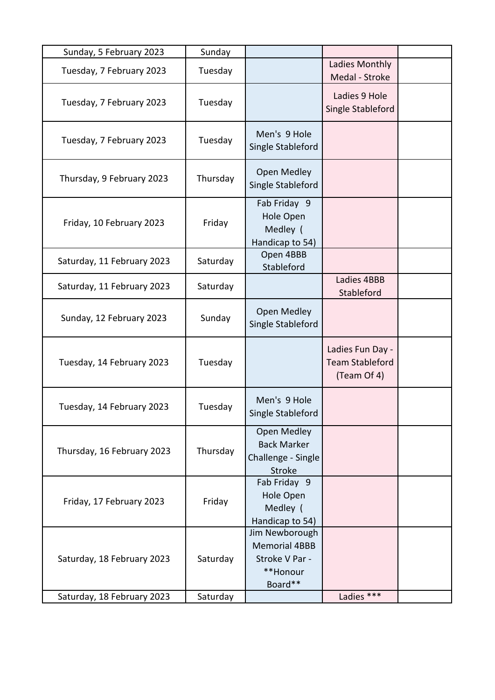| Sunday, 5 February 2023    | Sunday   |                                                                                 |                                                           |  |
|----------------------------|----------|---------------------------------------------------------------------------------|-----------------------------------------------------------|--|
| Tuesday, 7 February 2023   | Tuesday  |                                                                                 | Ladies Monthly<br>Medal - Stroke                          |  |
| Tuesday, 7 February 2023   | Tuesday  |                                                                                 | Ladies 9 Hole<br>Single Stableford                        |  |
| Tuesday, 7 February 2023   | Tuesday  | Men's 9 Hole<br>Single Stableford                                               |                                                           |  |
| Thursday, 9 February 2023  | Thursday | Open Medley<br>Single Stableford                                                |                                                           |  |
| Friday, 10 February 2023   | Friday   | Fab Friday 9<br>Hole Open<br>Medley (<br>Handicap to 54)                        |                                                           |  |
| Saturday, 11 February 2023 | Saturday | Open 4BBB<br>Stableford                                                         |                                                           |  |
| Saturday, 11 February 2023 | Saturday |                                                                                 | Ladies 4BBB<br>Stableford                                 |  |
| Sunday, 12 February 2023   | Sunday   | Open Medley<br>Single Stableford                                                |                                                           |  |
| Tuesday, 14 February 2023  | Tuesday  |                                                                                 | Ladies Fun Day -<br><b>Team Stableford</b><br>(Team Of 4) |  |
| Tuesday, 14 February 2023  | Tuesday  | Men's 9 Hole<br>Single Stableford                                               |                                                           |  |
| Thursday, 16 February 2023 | Thursday | <b>Open Medley</b><br><b>Back Marker</b><br>Challenge - Single<br><b>Stroke</b> |                                                           |  |
| Friday, 17 February 2023   | Friday   | Fab Friday 9<br>Hole Open<br>Medley (<br>Handicap to 54)                        |                                                           |  |
| Saturday, 18 February 2023 | Saturday | Jim Newborough<br><b>Memorial 4BBB</b><br>Stroke V Par -<br>**Honour<br>Board** |                                                           |  |
| Saturday, 18 February 2023 | Saturday |                                                                                 | Ladies ***                                                |  |